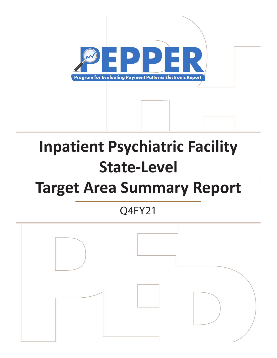

# **Inpatient Psychiatric Facility State-Level**

# **Target Area Summary Report**

Q4FY21

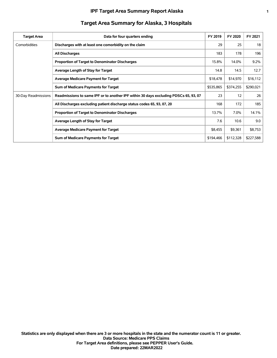| <b>Target Area</b>  | Data for four quarters ending                                                        | FY 2019   | FY 2020   | FY 2021   |
|---------------------|--------------------------------------------------------------------------------------|-----------|-----------|-----------|
| Comorbidities       | Discharges with at least one comorbidity on the claim                                | 29        | 25        | 18        |
|                     | All Discharges                                                                       | 183       | 178       | 196       |
|                     | <b>Proportion of Target to Denominator Discharges</b>                                | 15.8%     | 14.0%     | $9.2\%$   |
|                     | Average Length of Stay for Target                                                    | 14.8      | 14.5      | 12.7      |
|                     | <b>Average Medicare Payment for Target</b>                                           | \$18,478  | \$14,970  | \$16,112  |
|                     | Sum of Medicare Payments for Target                                                  | \$535,865 | \$374,255 | \$290,021 |
| 30-Day Readmissions | Readmissions to same IPF or to another IPF within 30 days excluding PDSCs 65, 93, 07 | 23        | 12        | 26        |
|                     | All Discharges excluding patient discharge status codes 65, 93, 07, 20               | 168       | 172       | 185       |
|                     | Proportion of Target to Denominator Discharges                                       | 13.7%     | 7.0%      | 14.1%     |
|                     | Average Length of Stay for Target                                                    | 7.6       | 10.6      | 9.0       |
|                     | <b>Average Medicare Payment for Target</b>                                           | \$8,455   | \$9,361   | \$8,753   |
|                     | Sum of Medicare Payments for Target                                                  | \$194,466 | \$112,328 | \$227,588 |

# **Target Area Summary for Alaska, 3 Hospitals**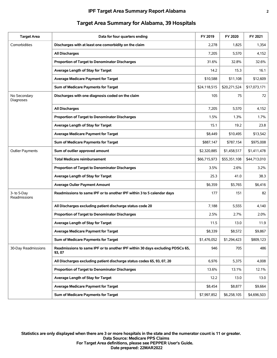| <b>Target Area</b>          | Data for four quarters ending                                                           | FY 2019      | FY 2020      | FY 2021      |
|-----------------------------|-----------------------------------------------------------------------------------------|--------------|--------------|--------------|
| Comorbidities               | Discharges with at least one comorbidity on the claim                                   | 2,278        | 1,825        | 1,354        |
|                             | <b>All Discharges</b>                                                                   | 7,205        | 5,570        | 4,152        |
|                             | Proportion of Target to Denominator Discharges                                          | 31.6%        | 32.8%        | 32.6%        |
|                             | Average Length of Stay for Target                                                       | 14.2         | 15.3         | 16.1         |
|                             | <b>Average Medicare Payment for Target</b>                                              | \$10,588     | \$11,108     | \$12,609     |
|                             | Sum of Medicare Payments for Target                                                     | \$24,118,515 | \$20,271,524 | \$17,073,171 |
| No Secondary<br>Diagnoses   | Discharges with one diagnosis coded on the claim                                        | 105          | 75           | 72           |
|                             | <b>All Discharges</b>                                                                   | 7,205        | 5,570        | 4,152        |
|                             | Proportion of Target to Denominator Discharges                                          | 1.5%         | 1.3%         | 1.7%         |
|                             | Average Length of Stay for Target                                                       | 15.1         | 19.2         | 23.8         |
|                             | <b>Average Medicare Payment for Target</b>                                              | \$8,449      | \$10,495     | \$13,542     |
|                             | Sum of Medicare Payments for Target                                                     | \$887,147    | \$787,154    | \$975,008    |
| <b>Outlier Payments</b>     | Sum of outlier approved amount                                                          | \$2,320,885  | \$1,458,517  | \$1,411,478  |
|                             | <b>Total Medicare reimbursement</b>                                                     | \$66,715,973 | \$55,351,108 | \$44,713,010 |
|                             | Proportion of Target to Denominator Discharges                                          | 3.5%         | 2.6%         | 3.2%         |
|                             | Average Length of Stay for Target                                                       | 25.3         | 41.0         | 38.3         |
|                             | <b>Average Oulier Payment Amount</b>                                                    | \$6,359      | \$5,765      | \$6,416      |
| 3- to 5-Day<br>Readmissions | Readmissions to same IPF or to another IPF within 3 to 5 calendar days                  | 177          | 151          | 82           |
|                             | All Discharges excluding patient discharge status code 20                               | 7,188        | 5,555        | 4,140        |
|                             | Proportion of Target to Denominator Discharges                                          | 2.5%         | 2.7%         | 2.0%         |
|                             | Average Length of Stay for Target                                                       | 11.5         | 13.0         | 11.9         |
|                             | <b>Average Medicare Payment for Target</b>                                              | \$8,339      | \$8,572      | \$9,867      |
|                             | Sum of Medicare Payments for Target                                                     | \$1,476,052  | \$1,294,423  | \$809,123    |
| 30-Day Readmissions         | Readmissions to same IPF or to another IPF within 30 days excluding PDSCs 65,<br>93, 07 | 946          | 705          | 486          |
|                             | All Discharges excluding patient discharge status codes 65, 93, 07, 20                  | 6,976        | 5,375        | 4,008        |
|                             | Proportion of Target to Denominator Discharges                                          | 13.6%        | 13.1%        | 12.1%        |
|                             | Average Length of Stay for Target                                                       | 12.2         | 13.0         | 13.0         |
|                             | <b>Average Medicare Payment for Target</b>                                              | \$8,454      | \$8,877      | \$9,664      |
|                             | Sum of Medicare Payments for Target                                                     | \$7,997,852  | \$6,258,105  | \$4,696,503  |

# **Target Area Summary for Alabama, 39 Hospitals**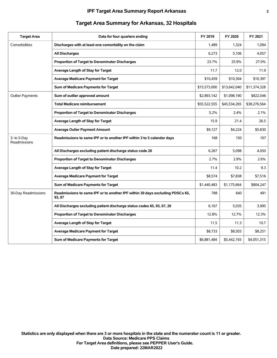| <b>Target Area</b>          | Data for four quarters ending                                                           | FY 2019      | FY 2020      | FY 2021      |
|-----------------------------|-----------------------------------------------------------------------------------------|--------------|--------------|--------------|
| Comorbidities               | Discharges with at least one comorbidity on the claim                                   | 1,489        | 1,324        | 1,094        |
|                             | <b>All Discharges</b>                                                                   | 6,273        | 5,106        | 4,057        |
|                             | Proportion of Target to Denominator Discharges                                          | 23.7%        | 25.9%        | 27.0%        |
|                             | Average Length of Stay for Target                                                       | 11.7         | 12.0         | 11.9         |
|                             | <b>Average Medicare Payment for Target</b>                                              | \$10,459     | \$10,304     | \$10,397     |
|                             | Sum of Medicare Payments for Target                                                     | \$15,573,000 | \$13,642,040 | \$11,374,328 |
| <b>Outlier Payments</b>     | Sum of outlier approved amount                                                          | \$2,893,142  | \$1,098,190  | \$822,046    |
|                             | <b>Total Medicare reimbursement</b>                                                     | \$55,522,555 | \$45,534,265 | \$38,276,564 |
|                             | Proportion of Target to Denominator Discharges                                          | 5.2%         | 2.4%         | 2.1%         |
|                             | Average Length of Stay for Target                                                       | 15.9         | 21.4         | 26.5         |
|                             | <b>Average Oulier Payment Amount</b>                                                    | \$9,127      | \$4,224      | \$5,830      |
| 3- to 5-Day<br>Readmissions | Readmissions to same IPF or to another IPF within 3 to 5 calendar days                  | 168          | 150          | 107          |
|                             | All Discharges excluding patient discharge status code 20                               | 6,267        | 5,098        | 4,050        |
|                             | Proportion of Target to Denominator Discharges                                          | 2.7%         | 2.9%         | 2.6%         |
|                             | Average Length of Stay for Target                                                       | 11.4         | 10.2         | 9.3          |
|                             | <b>Average Medicare Payment for Target</b>                                              | \$8,574      | \$7,838      | \$7,516      |
|                             | Sum of Medicare Payments for Target                                                     | \$1,440,483  | \$1,175,664  | \$804,247    |
| 30-Day Readmissions         | Readmissions to same IPF or to another IPF within 30 days excluding PDSCs 65,<br>93, 07 | 788          | 640          | 491          |
|                             | All Discharges excluding patient discharge status codes 65, 93, 07, 20                  | 6,167        | 5,035        | 3,995        |
|                             | Proportion of Target to Denominator Discharges                                          | 12.8%        | 12.7%        | 12.3%        |
|                             | Average Length of Stay for Target                                                       | 11.5         | 11.3         | 10.7         |
|                             | <b>Average Medicare Payment for Target</b>                                              | \$8,733      | \$8,503      | \$8,251      |
|                             | Sum of Medicare Payments for Target                                                     | \$6,881,484  | \$5,442,193  | \$4,051,315  |

# **Target Area Summary for Arkansas, 32 Hospitals**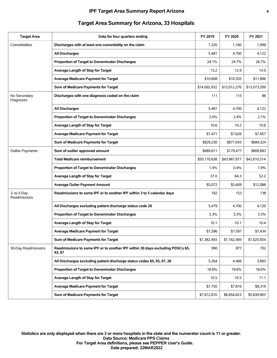| <b>Target Area</b>          | Data for four quarters ending                                                           | FY 2019      | FY 2020      | FY 2021      |
|-----------------------------|-----------------------------------------------------------------------------------------|--------------|--------------|--------------|
| Comorbidities               | Discharges with at least one comorbidity on the claim                                   | 1,320        | 1,160        | 1,099        |
|                             | <b>All Discharges</b>                                                                   | 5,481        | 4,700        | 4,122        |
|                             | Proportion of Target to Denominator Discharges                                          | 24.1%        | 24.7%        | 26.7%        |
|                             | Average Length of Stay for Target                                                       | 13.2         | 12.9         | 14.0         |
|                             | <b>Average Medicare Payment for Target</b>                                              | \$10,608     | \$10,355     | \$11,896     |
|                             | Sum of Medicare Payments for Target                                                     | \$14,002,932 | \$12,012,276 | \$13,073,209 |
| No Secondary<br>Diagnoses   | Discharges with one diagnosis coded on the claim                                        | 111          | 115          | 86           |
|                             | <b>All Discharges</b>                                                                   | 5,481        | 4,700        | 4,122        |
|                             | Proportion of Target to Denominator Discharges                                          | 2.0%         | 2.4%         | 2.1%         |
|                             | Average Length of Stay for Target                                                       | 10.6         | 10.2         | 10.6         |
|                             | <b>Average Medicare Payment for Target</b>                                              | \$7,471      | \$7,626      | \$7,957      |
|                             | Sum of Medicare Payments for Target                                                     | \$829,230    | \$877,043    | \$684,324    |
| <b>Outlier Payments</b>     | Sum of outlier approved amount                                                          | \$689,811    | \$179,477    | \$809,893    |
|                             | <b>Total Medicare reimbursement</b>                                                     | \$50,170,638 | \$43,967,877 | \$42,610,514 |
|                             | Proportion of Target to Denominator Discharges                                          | 1.4%         | 0.4%         | 1.9%         |
|                             | Average Length of Stay for Target                                                       | 37.0         | 64.3         | 52.2         |
|                             | <b>Average Oulier Payment Amount</b>                                                    | \$5,072      | \$5,609      | \$12,088     |
| 3- to 5-Day<br>Readmissions | Readmissions to same IPF or to another IPF within 3 to 5 calendar days                  | 182          | 153          | 138          |
|                             | All Discharges excluding patient discharge status code 20                               | 5,479        | 4,700        | 4,120        |
|                             | Proportion of Target to Denominator Discharges                                          | 3.3%         | 3.3%         | 3.3%         |
|                             | Average Length of Stay for Target                                                       | 10.1         | 10.1         | 10.4         |
|                             | <b>Average Medicare Payment for Target</b>                                              | \$7,596      | \$7.597      | \$7.434      |
|                             | Sum of Medicare Payments for Target                                                     | \$1,382,493  | \$1,162,369  | \$1,025,934  |
| 30-Day Readmissions         | Readmissions to same IPF or to another IPF within 30 days excluding PDSCs 65,<br>93, 07 | 990          | 877          | 702          |
|                             | All Discharges excluding patient discharge status codes 65, 93, 07, 20                  | 5,264        | 4,466        | 3,893        |
|                             | Proportion of Target to Denominator Discharges                                          | 18.8%        | 19.6%        | 18.0%        |
|                             | Average Length of Stay for Target                                                       | 10.5         | 10.5         | 11.1         |
|                             | <b>Average Medicare Payment for Target</b>                                              | \$7,750      | \$7,816      | \$8,319      |
|                             | Sum of Medicare Payments for Target                                                     | \$7,672,810  | \$6,854,823  | \$5,839,903  |

# **Target Area Summary for Arizona, 33 Hospitals**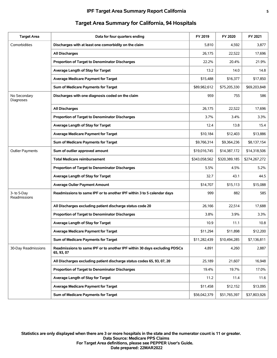| <b>Target Area</b>          | Data for four quarters ending                                                           | FY 2019       | FY 2020       | FY 2021       |
|-----------------------------|-----------------------------------------------------------------------------------------|---------------|---------------|---------------|
| Comorbidities               | Discharges with at least one comorbidity on the claim                                   | 5,810         | 4,592         | 3,877         |
|                             | <b>All Discharges</b>                                                                   | 26,175        | 22,522        | 17,696        |
|                             | Proportion of Target to Denominator Discharges                                          | 22.2%         | 20.4%         | 21.9%         |
|                             | Average Length of Stay for Target                                                       | 13.2          | 14.0          | 14.8          |
|                             | <b>Average Medicare Payment for Target</b>                                              | \$15,488      | \$16,377      | \$17,850      |
|                             | Sum of Medicare Payments for Target                                                     | \$89,982,612  | \$75,205,330  | \$69,203,848  |
| No Secondary<br>Diagnoses   | Discharges with one diagnosis coded on the claim                                        | 959           | 755           | 586           |
|                             | <b>All Discharges</b>                                                                   | 26,175        | 22,522        | 17,696        |
|                             | Proportion of Target to Denominator Discharges                                          | 3.7%          | 3.4%          | 3.3%          |
|                             | Average Length of Stay for Target                                                       | 12.4          | 13.8          | 15.4          |
|                             | Average Medicare Payment for Target                                                     | \$10,184      | \$12,403      | \$13,886      |
|                             | Sum of Medicare Payments for Target                                                     | \$9,766,314   | \$9,364,236   | \$8,137,154   |
| <b>Outlier Payments</b>     | Sum of outlier approved amount                                                          | \$19,016,745  | \$14,387,172  | \$14,318,506  |
|                             | <b>Total Medicare reimbursement</b>                                                     | \$343,058,562 | \$320,389,185 | \$274,267,272 |
|                             | Proportion of Target to Denominator Discharges                                          | 5.5%          | 4.5%          | 5.2%          |
|                             | Average Length of Stay for Target                                                       | 32.7          | 43.1          | 44.5          |
|                             | <b>Average Oulier Payment Amount</b>                                                    | \$14,707      | \$15,113      | \$15,088      |
| 3- to 5-Day<br>Readmissions | Readmissions to same IPF or to another IPF within 3 to 5 calendar days                  | 999           | 882           | 585           |
|                             | All Discharges excluding patient discharge status code 20                               | 26,166        | 22,514        | 17,688        |
|                             | Proportion of Target to Denominator Discharges                                          | 3.8%          | 3.9%          | 3.3%          |
|                             | Average Length of Stay for Target                                                       | 10.9          | 11.1          | 10.8          |
|                             | <b>Average Medicare Payment for Target</b>                                              | \$11,294      | \$11,898      | \$12,200      |
|                             | Sum of Medicare Payments for Target                                                     | \$11,282,439  | \$10,494,285  | \$7,136,811   |
| 30-Day Readmissions         | Readmissions to same IPF or to another IPF within 30 days excluding PDSCs<br>65, 93, 07 | 4,891         | 4,260         | 2,887         |
|                             | All Discharges excluding patient discharge status codes 65, 93, 07, 20                  | 25,189        | 21,607        | 16,948        |
|                             | Proportion of Target to Denominator Discharges                                          | 19.4%         | 19.7%         | 17.0%         |
|                             | Average Length of Stay for Target                                                       | 11.2          | 11.4          | 11.6          |
|                             | <b>Average Medicare Payment for Target</b>                                              | \$11,458      | \$12,152      | \$13,095      |
|                             | Sum of Medicare Payments for Target                                                     | \$56,042,379  | \$51,765,397  | \$37,803,926  |

# **Target Area Summary for California, 94 Hospitals**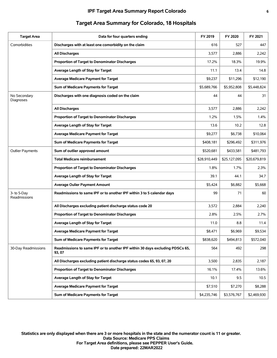| <b>Target Area</b>          | Data for four quarters ending                                                           | FY 2019      | FY 2020      | FY 2021      |
|-----------------------------|-----------------------------------------------------------------------------------------|--------------|--------------|--------------|
| Comorbidities               | Discharges with at least one comorbidity on the claim                                   | 616          | 527          | 447          |
|                             | <b>All Discharges</b>                                                                   | 3,577        | 2,886        | 2,242        |
|                             | Proportion of Target to Denominator Discharges                                          | 17.2%        | 18.3%        | 19.9%        |
|                             | Average Length of Stay for Target                                                       | 11.1         | 13.4         | 14.8         |
|                             | <b>Average Medicare Payment for Target</b>                                              | \$9,237      | \$11,296     | \$12,190     |
|                             | Sum of Medicare Payments for Target                                                     | \$5,689,766  | \$5,952,808  | \$5,448,824  |
| No Secondary<br>Diagnoses   | Discharges with one diagnosis coded on the claim                                        | 44           | 44           | 31           |
|                             | <b>All Discharges</b>                                                                   | 3,577        | 2,886        | 2,242        |
|                             | <b>Proportion of Target to Denominator Discharges</b>                                   | 1.2%         | 1.5%         | 1.4%         |
|                             | Average Length of Stay for Target                                                       | 13.6         | 10.2         | 12.8         |
|                             | <b>Average Medicare Payment for Target</b>                                              | \$9,277      | \$6,738      | \$10,064     |
|                             | Sum of Medicare Payments for Target                                                     | \$408,181    | \$296,492    | \$311,976    |
| <b>Outlier Payments</b>     | Sum of outlier approved amount                                                          | \$520,681    | \$433,581    | \$481,793    |
|                             | <b>Total Medicare reimbursement</b>                                                     | \$28,910,449 | \$25,127,095 | \$20,679,819 |
|                             | Proportion of Target to Denominator Discharges                                          | 1.8%         | 1.7%         | 2.3%         |
|                             | Average Length of Stay for Target                                                       | 39.1         | 44.1         | 34.7         |
|                             | <b>Average Oulier Payment Amount</b>                                                    | \$5,424      | \$6,882      | \$5,668      |
| 3- to 5-Day<br>Readmissions | Readmissions to same IPF or to another IPF within 3 to 5 calendar days                  | 99           | 71           | 60           |
|                             | All Discharges excluding patient discharge status code 20                               | 3,572        | 2,884        | 2,240        |
|                             | Proportion of Target to Denominator Discharges                                          | 2.8%         | 2.5%         | 2.7%         |
|                             | Average Length of Stay for Target                                                       | 11.0         | 8.8          | 11.4         |
|                             | <b>Average Medicare Payment for Target</b>                                              | \$8,471      | \$6,969      | \$9,534      |
|                             | Sum of Medicare Payments for Target                                                     | \$838,620    | \$494,813    | \$572,040    |
| 30-Day Readmissions         | Readmissions to same IPF or to another IPF within 30 days excluding PDSCs 65,<br>93, 07 | 564          | 492          | 298          |
|                             | All Discharges excluding patient discharge status codes 65, 93, 07, 20                  | 3,500        | 2,835        | 2,187        |
|                             | Proportion of Target to Denominator Discharges                                          | 16.1%        | 17.4%        | 13.6%        |
|                             | Average Length of Stay for Target                                                       | 10.1         | 9.5          | 10.5         |
|                             | <b>Average Medicare Payment for Target</b>                                              | \$7,510      | \$7,270      | \$8,288      |
|                             | Sum of Medicare Payments for Target                                                     | \$4,235,746  | \$3,576,767  | \$2,469,930  |

# **Target Area Summary for Colorado, 18 Hospitals**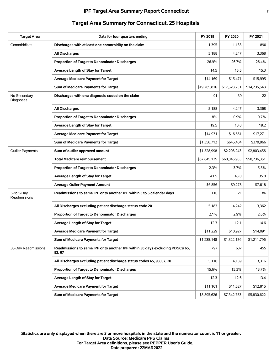#### **IPF Target Area Summary Report Connecticut 7**

| <b>Target Area</b>          | Data for four quarters ending                                                           | FY 2019      | FY 2020      | FY 2021      |
|-----------------------------|-----------------------------------------------------------------------------------------|--------------|--------------|--------------|
| Comorbidities               | Discharges with at least one comorbidity on the claim                                   | 1,395        | 1,133        | 890          |
|                             | <b>All Discharges</b>                                                                   | 5,188        | 4,247        | 3,368        |
|                             | Proportion of Target to Denominator Discharges                                          | 26.9%        | 26.7%        | 26.4%        |
|                             | Average Length of Stay for Target                                                       | 14.5         | 15.5         | 15.3         |
|                             | <b>Average Medicare Payment for Target</b>                                              | \$14,169     | \$15,471     | \$15,995     |
|                             | Sum of Medicare Payments for Target                                                     | \$19,765,816 | \$17,528,731 | \$14,235,548 |
| No Secondary<br>Diagnoses   | Discharges with one diagnosis coded on the claim                                        | 91           | 39           | 22           |
|                             | <b>All Discharges</b>                                                                   | 5,188        | 4,247        | 3,368        |
|                             | Proportion of Target to Denominator Discharges                                          | 1.8%         | 0.9%         | 0.7%         |
|                             | Average Length of Stay for Target                                                       | 19.5         | 18.8         | 19.2         |
|                             | <b>Average Medicare Payment for Target</b>                                              | \$14,931     | \$16,551     | \$17,271     |
|                             | Sum of Medicare Payments for Target                                                     | \$1,358,712  | \$645.484    | \$379,966    |
| <b>Outlier Payments</b>     | Sum of outlier approved amount                                                          | \$1,528,998  | \$2,208,243  | \$2,803,456  |
|                             | <b>Total Medicare reimbursement</b>                                                     | \$67,845,125 | \$60,046,983 | \$50,736,351 |
|                             | Proportion of Target to Denominator Discharges                                          | 2.3%         | 3.7%         | 5.5%         |
|                             | Average Length of Stay for Target                                                       | 41.5         | 43.0         | 35.0         |
|                             | <b>Average Oulier Payment Amount</b>                                                    | \$6,856      | \$9,278      | \$7,618      |
| 3- to 5-Day<br>Readmissions | Readmissions to same IPF or to another IPF within 3 to 5 calendar days                  | 110          | 121          | 86           |
|                             | All Discharges excluding patient discharge status code 20                               | 5,183        | 4,242        | 3,362        |
|                             | Proportion of Target to Denominator Discharges                                          | 2.1%         | 2.9%         | 2.6%         |
|                             | Average Length of Stay for Target                                                       | 12.3         | 12.1         | 14.6         |
|                             | <b>Average Medicare Payment for Target</b>                                              | \$11,229     | \$10.927     | \$14,091     |
|                             | Sum of Medicare Payments for Target                                                     | \$1,235,148  | \$1,322,156  | \$1,211,796  |
| 30-Day Readmissions         | Readmissions to same IPF or to another IPF within 30 days excluding PDSCs 65,<br>93, 07 | 797          | 637          | 455          |
|                             | All Discharges excluding patient discharge status codes 65, 93, 07, 20                  | 5,116        | 4,159        | 3,316        |
|                             | Proportion of Target to Denominator Discharges                                          | 15.6%        | 15.3%        | 13.7%        |
|                             | Average Length of Stay for Target                                                       | 12.3         | 12.6         | 13.4         |
|                             | <b>Average Medicare Payment for Target</b>                                              | \$11,161     | \$11,527     | \$12,815     |
|                             | Sum of Medicare Payments for Target                                                     | \$8,895,626  | \$7,342,753  | \$5,830,622  |

# **Target Area Summary for Connecticut, 25 Hospitals**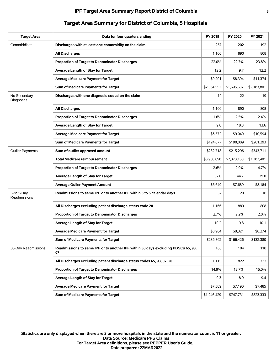| <b>Target Area</b>          | Data for four quarters ending                                                           | FY 2019     | FY 2020     | FY 2021     |
|-----------------------------|-----------------------------------------------------------------------------------------|-------------|-------------|-------------|
| Comorbidities               | Discharges with at least one comorbidity on the claim                                   | 257         | 202         | 192         |
|                             | <b>All Discharges</b>                                                                   | 1,166       | 890         | 808         |
|                             | Proportion of Target to Denominator Discharges                                          | 22.0%       | 22.7%       | 23.8%       |
|                             | Average Length of Stay for Target                                                       | 12.2        | 9.7         | 12.2        |
|                             | <b>Average Medicare Payment for Target</b>                                              | \$9,201     | \$8,394     | \$11,374    |
|                             | Sum of Medicare Payments for Target                                                     | \$2,364,552 | \$1,695,632 | \$2,183,801 |
| No Secondary<br>Diagnoses   | Discharges with one diagnosis coded on the claim                                        | 19          | 22          | 19          |
|                             | <b>All Discharges</b>                                                                   | 1,166       | 890         | 808         |
|                             | Proportion of Target to Denominator Discharges                                          | 1.6%        | 2.5%        | 2.4%        |
|                             | Average Length of Stay for Target                                                       | 9.8         | 18.3        | 13.6        |
|                             | <b>Average Medicare Payment for Target</b>                                              | \$6,572     | \$9,040     | \$10,594    |
|                             | Sum of Medicare Payments for Target                                                     | \$124,877   | \$198,889   | \$201,293   |
| <b>Outlier Payments</b>     | Sum of outlier approved amount                                                          | \$232,718   | \$215,296   | \$343,711   |
|                             | <b>Total Medicare reimbursement</b>                                                     | \$8,960,698 | \$7,373,160 | \$7,382,401 |
|                             | Proportion of Target to Denominator Discharges                                          | 2.6%        | 2.9%        | 4.7%        |
|                             | Average Length of Stay for Target                                                       | 52.0        | 44.7        | 39.0        |
|                             | <b>Average Oulier Payment Amount</b>                                                    | \$6,649     | \$7,689     | \$8,184     |
| 3- to 5-Day<br>Readmissions | Readmissions to same IPF or to another IPF within 3 to 5 calendar days                  | 32          | 20          | 16          |
|                             | All Discharges excluding patient discharge status code 20                               | 1,166       | 889         | 808         |
|                             | Proportion of Target to Denominator Discharges                                          | 2.7%        | 2.2%        | 2.0%        |
|                             | Average Length of Stay for Target                                                       | 10.2        | 9.8         | 10.1        |
|                             | <b>Average Medicare Payment for Target</b>                                              | \$8,964     | \$8,321     | \$8,274     |
|                             | Sum of Medicare Payments for Target                                                     | \$286,862   | \$166,426   | \$132,380   |
| 30-Day Readmissions         | Readmissions to same IPF or to another IPF within 30 days excluding PDSCs 65, 93,<br>07 | 166         | 104         | 110         |
|                             | All Discharges excluding patient discharge status codes 65, 93, 07, 20                  | 1,115       | 822         | 733         |
|                             | Proportion of Target to Denominator Discharges                                          | 14.9%       | 12.7%       | 15.0%       |
|                             | Average Length of Stay for Target                                                       | 9.3         | 8.9         | 9.4         |
|                             | <b>Average Medicare Payment for Target</b>                                              | \$7,509     | \$7,190     | \$7,485     |
|                             | Sum of Medicare Payments for Target                                                     | \$1,246,429 | \$747,731   | \$823,333   |

# **Target Area Summary for District of Columbia, 5 Hospitals**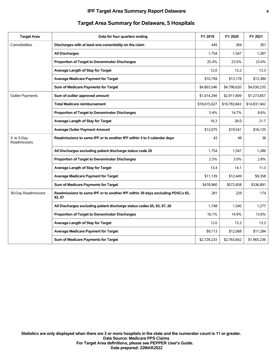| <b>Target Area</b>          | Data for four quarters ending                                                           | FY 2019      | FY 2020      | FY 2021      |
|-----------------------------|-----------------------------------------------------------------------------------------|--------------|--------------|--------------|
| Comorbidities               | Discharges with at least one comorbidity on the claim                                   | 445          | 364          | 301          |
|                             | <b>All Discharges</b>                                                                   | 1,754        | 1,547        | 1,287        |
|                             | Proportion of Target to Denominator Discharges                                          | 25.4%        | 23.5%        | 23.4%        |
|                             | Average Length of Stay for Target                                                       | 12.0         | 13.2         | 13.3         |
|                             | <b>Average Medicare Payment for Target</b>                                              | \$10,794     | \$13,178     | \$13,389     |
|                             | Sum of Medicare Payments for Target                                                     | \$4,803,546  | \$4,796,620  | \$4,030,235  |
| <b>Outlier Payments</b>     | Sum of outlier approved amount                                                          | \$1,014,294  | \$2,911,609  | \$1,273,857  |
|                             | <b>Total Medicare reimbursement</b>                                                     | \$18,615,627 | \$19,783,843 | \$14,831,942 |
|                             | Proportion of Target to Denominator Discharges                                          | 5.4%         | 14.7%        | 8.6%         |
|                             | Average Length of Stay for Target                                                       | 16.3         | 26.0         | 21.7         |
|                             | <b>Average Oulier Payment Amount</b>                                                    | \$12,075     | \$19,541     | \$16,125     |
| 3- to 5-Day<br>Readmissions | Readmissions to same IPF or to another IPF within 3 to 5 calendar days                  | 43           | 46           | 36           |
|                             | All Discharges excluding patient discharge status code 20                               | 1,754        | 1,547        | 1,286        |
|                             | Proportion of Target to Denominator Discharges                                          | 2.5%         | 3.0%         | 2.8%         |
|                             | Average Length of Stay for Target                                                       | 13.4         | 14.1         | 11.3         |
|                             | <b>Average Medicare Payment for Target</b>                                              | \$11,139     | \$12,449     | \$9,358      |
|                             | Sum of Medicare Payments for Target                                                     | \$478,960    | \$572,658    | \$336,891    |
| 30-Day Readmissions         | Readmissions to same IPF or to another IPF within 30 days excluding PDSCs 65,<br>93, 07 | 281          | 229          | 174          |
|                             | All Discharges excluding patient discharge status codes 65, 93, 07, 20                  | 1,748        | 1,540        | 1,277        |
|                             | Proportion of Target to Denominator Discharges                                          | 16.1%        | 14.9%        | 13.6%        |
|                             | Average Length of Stay for Target                                                       | 12.0         | 13.3         | 13.3         |
|                             | <b>Average Medicare Payment for Target</b>                                              | \$9,713      | \$12,068     | \$11,294     |
|                             | Sum of Medicare Payments for Target                                                     | \$2,729,233  | \$2,763,642  | \$1,965,236  |

## **Target Area Summary for Delaware, 5 Hospitals**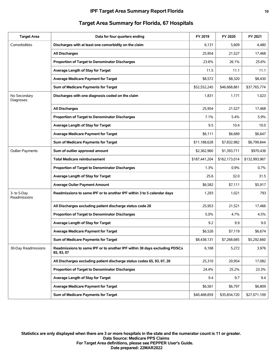| <b>Target Area</b>          | Data for four quarters ending                                                           | FY 2019       | FY 2020       | FY 2021       |
|-----------------------------|-----------------------------------------------------------------------------------------|---------------|---------------|---------------|
| Comorbidities               | Discharges with at least one comorbidity on the claim                                   | 6,131         | 5,609         | 4,480         |
|                             | <b>All Discharges</b>                                                                   | 25,954        | 21,527        | 17,468        |
|                             | Proportion of Target to Denominator Discharges                                          | 23.6%         | 26.1%         | 25.6%         |
|                             | Average Length of Stay for Target                                                       | 11.5          | 11.1          | 11.1          |
|                             | <b>Average Medicare Payment for Target</b>                                              | \$8,572       | \$8,320       | \$8,430       |
|                             | Sum of Medicare Payments for Target                                                     | \$52,552,245  | \$46,668,861  | \$37,765,774  |
| No Secondary<br>Diagnoses   | Discharges with one diagnosis coded on the claim                                        | 1,831         | 1,171         | 1,023         |
|                             | <b>All Discharges</b>                                                                   | 25,954        | 21,527        | 17,468        |
|                             | Proportion of Target to Denominator Discharges                                          | 7.1%          | 5.4%          | 5.9%          |
|                             | Average Length of Stay for Target                                                       | 9.5           | 10.4          | 10.0          |
|                             | <b>Average Medicare Payment for Target</b>                                              | \$6,111       | \$6,689       | \$6,647       |
|                             | Sum of Medicare Payments for Target                                                     | \$11,188,628  | \$7,832,982   | \$6,799,844   |
| <b>Outlier Payments</b>     | Sum of outlier approved amount                                                          | \$2,362,960   | \$1,393,711   | \$970,436     |
|                             | <b>Total Medicare reimbursement</b>                                                     | \$187,441,204 | \$162,173,014 | \$132,993,967 |
|                             | <b>Proportion of Target to Denominator Discharges</b>                                   | 1.3%          | 0.9%          | 0.7%          |
|                             | Average Length of Stay for Target                                                       | 25.6          | 32.0          | 31.5          |
|                             | <b>Average Oulier Payment Amount</b>                                                    | \$6,582       | \$7,111       | \$5,917       |
| 3- to 5-Day<br>Readmissions | Readmissions to same IPF or to another IPF within 3 to 5 calendar days                  | 1,293         | 1,021         | 793           |
|                             | All Discharges excluding patient discharge status code 20                               | 25,953        | 21,521        | 17,466        |
|                             | Proportion of Target to Denominator Discharges                                          | 5.0%          | 4.7%          | 4.5%          |
|                             | Average Length of Stay for Target                                                       | 9.2           | 9.9           | 9.0           |
|                             | <b>Average Medicare Payment for Target</b>                                              | \$6,526       | \$7.119       | \$6,674       |
|                             | Sum of Medicare Payments for Target                                                     | \$8,438,131   | \$7,268,685   | \$5,292,660   |
| 30-Day Readmissions         | Readmissions to same IPF or to another IPF within 30 days excluding PDSCs<br>65, 93, 07 | 6,168         | 5,272         | 3,976         |
|                             | All Discharges excluding patient discharge status codes 65, 93, 07, 20                  | 25,310        | 20,954        | 17,082        |
|                             | Proportion of Target to Denominator Discharges                                          | 24.4%         | 25.2%         | 23.3%         |
|                             | Average Length of Stay for Target                                                       | 9.4           | 9.7           | 9.4           |
|                             | <b>Average Medicare Payment for Target</b>                                              | \$6,561       | \$6,797       | \$6,809       |
|                             | Sum of Medicare Payments for Target                                                     | \$40,468,859  | \$35,834,720  | \$27,071,109  |

## **Target Area Summary for Florida, 67 Hospitals**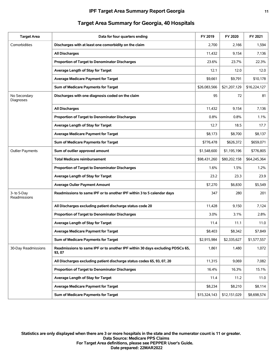| <b>Target Area</b>          | Data for four quarters ending                                                           | FY 2019      | FY 2020      | FY 2021      |
|-----------------------------|-----------------------------------------------------------------------------------------|--------------|--------------|--------------|
| Comorbidities               | Discharges with at least one comorbidity on the claim                                   | 2,700        | 2,166        | 1,594        |
|                             | <b>All Discharges</b>                                                                   | 11,432       | 9,154        | 7,136        |
|                             | Proportion of Target to Denominator Discharges                                          | 23.6%        | 23.7%        | 22.3%        |
|                             | Average Length of Stay for Target                                                       | 12.1         | 12.0         | 12.0         |
|                             | <b>Average Medicare Payment for Target</b>                                              | \$9,661      | \$9,791      | \$10,178     |
|                             | Sum of Medicare Payments for Target                                                     | \$26,083,566 | \$21,207,129 | \$16,224,127 |
| No Secondary<br>Diagnoses   | Discharges with one diagnosis coded on the claim                                        | 95           | 72           | 81           |
|                             | <b>All Discharges</b>                                                                   | 11,432       | 9,154        | 7,136        |
|                             | Proportion of Target to Denominator Discharges                                          | 0.8%         | 0.8%         | 1.1%         |
|                             | Average Length of Stay for Target                                                       | 12.7         | 18.5         | 17.7         |
|                             | <b>Average Medicare Payment for Target</b>                                              | \$8,173      | \$8,700      | \$8,137      |
|                             | Sum of Medicare Payments for Target                                                     | \$776,478    | \$626,372    | \$659,071    |
| <b>Outlier Payments</b>     | Sum of outlier approved amount                                                          | \$1,548,600  | \$1,195,196  | \$776,805    |
|                             | <b>Total Medicare reimbursement</b>                                                     | \$98,431,260 | \$80,202,158 | \$64,245,364 |
|                             | Proportion of Target to Denominator Discharges                                          | 1.6%         | 1.5%         | 1.2%         |
|                             | Average Length of Stay for Target                                                       | 23.2         | 23.3         | 23.9         |
|                             | <b>Average Oulier Payment Amount</b>                                                    | \$7,270      | \$6,830      | \$5,549      |
| 3- to 5-Day<br>Readmissions | Readmissions to same IPF or to another IPF within 3 to 5 calendar days                  | 347          | 280          | 201          |
|                             | All Discharges excluding patient discharge status code 20                               | 11,428       | 9,150        | 7,124        |
|                             | Proportion of Target to Denominator Discharges                                          | 3.0%         | 3.1%         | 2.8%         |
|                             | Average Length of Stay for Target                                                       | 11.4         | 11.1         | 11.0         |
|                             | Average Medicare Payment for Target                                                     | \$8,403      | \$8,342      | \$7,849      |
|                             | Sum of Medicare Payments for Target                                                     | \$2,915,984  | \$2,335,627  | \$1,577,557  |
| 30-Day Readmissions         | Readmissions to same IPF or to another IPF within 30 days excluding PDSCs 65,<br>93, 07 | 1,861        | 1,480        | 1,072        |
|                             | All Discharges excluding patient discharge status codes 65, 93, 07, 20                  | 11,315       | 9,069        | 7,082        |
|                             | Proportion of Target to Denominator Discharges                                          | 16.4%        | 16.3%        | 15.1%        |
|                             | Average Length of Stay for Target                                                       | 11.4         | 11.2         | 11.0         |
|                             | <b>Average Medicare Payment for Target</b>                                              | \$8,234      | \$8,210      | \$8,114      |
|                             | Sum of Medicare Payments for Target                                                     | \$15,324,143 | \$12,151,029 | \$8,698,574  |

# **Target Area Summary for Georgia, 40 Hospitals**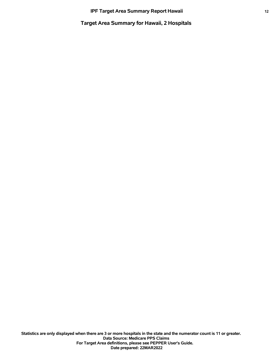**Target Area Summary for Hawaii, 2 Hospitals**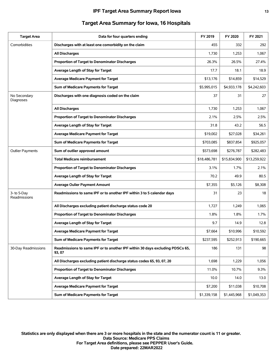| <b>Target Area</b>          | Data for four quarters ending                                                           | FY 2019      | FY 2020      | FY 2021      |
|-----------------------------|-----------------------------------------------------------------------------------------|--------------|--------------|--------------|
| Comorbidities               | Discharges with at least one comorbidity on the claim                                   | 455          | 332          | 292          |
|                             | <b>All Discharges</b>                                                                   | 1,730        | 1,253        | 1,067        |
|                             | <b>Proportion of Target to Denominator Discharges</b>                                   | 26.3%        | 26.5%        | 27.4%        |
|                             | Average Length of Stay for Target                                                       | 17.7         | 18.1         | 18.9         |
|                             | <b>Average Medicare Payment for Target</b>                                              | \$13,176     | \$14,859     | \$14,529     |
|                             | Sum of Medicare Payments for Target                                                     | \$5,995,015  | \$4,933,178  | \$4,242,603  |
| No Secondary<br>Diagnoses   | Discharges with one diagnosis coded on the claim                                        | 37           | 31           | 27           |
|                             | <b>All Discharges</b>                                                                   | 1,730        | 1,253        | 1,067        |
|                             | <b>Proportion of Target to Denominator Discharges</b>                                   | 2.1%         | 2.5%         | 2.5%         |
|                             | Average Length of Stay for Target                                                       | 31.8         | 43.2         | 56.5         |
|                             | <b>Average Medicare Payment for Target</b>                                              | \$19,002     | \$27,028     | \$34,261     |
|                             | Sum of Medicare Payments for Target                                                     | \$703,085    | \$837,854    | \$925,057    |
| <b>Outlier Payments</b>     | Sum of outlier approved amount                                                          | \$573,698    | \$276,787    | \$282,483    |
|                             | <b>Total Medicare reimbursement</b>                                                     | \$18,486,781 | \$15,834,900 | \$13,259,922 |
|                             | Proportion of Target to Denominator Discharges                                          | 3.1%         | 1.7%         | 2.1%         |
|                             | Average Length of Stay for Target                                                       | 70.2         | 49.9         | 80.5         |
|                             | <b>Average Oulier Payment Amount</b>                                                    | \$7,355      | \$5,126      | \$8,308      |
| 3- to 5-Day<br>Readmissions | Readmissions to same IPF or to another IPF within 3 to 5 calendar days                  | 31           | 23           | 18           |
|                             | All Discharges excluding patient discharge status code 20                               | 1,727        | 1,249        | 1,065        |
|                             | Proportion of Target to Denominator Discharges                                          | 1.8%         | 1.8%         | 1.7%         |
|                             | Average Length of Stay for Target                                                       | 9.7          | 14.9         | 12.8         |
|                             | <b>Average Medicare Payment for Target</b>                                              | \$7,664      | \$10,996     | \$10,592     |
|                             | Sum of Medicare Payments for Target                                                     | \$237,595    | \$252,913    | \$190,665    |
| 30-Day Readmissions         | Readmissions to same IPF or to another IPF within 30 days excluding PDSCs 65,<br>93, 07 | 186          | 131          | 98           |
|                             | All Discharges excluding patient discharge status codes 65, 93, 07, 20                  | 1,698        | 1,229        | 1,056        |
|                             | Proportion of Target to Denominator Discharges                                          | 11.0%        | 10.7%        | 9.3%         |
|                             | Average Length of Stay for Target                                                       | 10.0         | 14.0         | 13.0         |
|                             | Average Medicare Payment for Target                                                     | \$7,200      | \$11,038     | \$10,708     |
|                             | Sum of Medicare Payments for Target                                                     | \$1,339,158  | \$1,445,968  | \$1,049,353  |

## **Target Area Summary for Iowa, 16 Hospitals**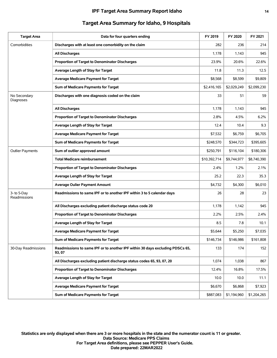| <b>Target Area</b>          | Data for four quarters ending                                                           | FY 2019      | FY 2020     | FY 2021     |
|-----------------------------|-----------------------------------------------------------------------------------------|--------------|-------------|-------------|
| Comorbidities               | Discharges with at least one comorbidity on the claim                                   | 282          | 236         | 214         |
|                             | All Discharges                                                                          | 1,178        | 1,143       | 945         |
|                             | Proportion of Target to Denominator Discharges                                          | 23.9%        | 20.6%       | 22.6%       |
|                             | Average Length of Stay for Target                                                       | 11.8         | 11.3        | 12.5        |
|                             | <b>Average Medicare Payment for Target</b>                                              | \$8,568      | \$8,599     | \$9,809     |
|                             | Sum of Medicare Payments for Target                                                     | \$2,416,165  | \$2,029,249 | \$2,099,230 |
| No Secondary<br>Diagnoses   | Discharges with one diagnosis coded on the claim                                        | 33           | 51          | 59          |
|                             | <b>All Discharges</b>                                                                   | 1,178        | 1,143       | 945         |
|                             | <b>Proportion of Target to Denominator Discharges</b>                                   | 2.8%         | 4.5%        | 6.2%        |
|                             | Average Length of Stay for Target                                                       | 12.4         | 10.4        | 9.3         |
|                             | <b>Average Medicare Payment for Target</b>                                              | \$7,532      | \$6,759     | \$6,705     |
|                             | Sum of Medicare Payments for Target                                                     | \$248,570    | \$344,723   | \$395,605   |
| <b>Outlier Payments</b>     | Sum of outlier approved amount                                                          | \$250,791    | \$116,104   | \$180,306   |
|                             | <b>Total Medicare reimbursement</b>                                                     | \$10,392,714 | \$9,744,977 | \$8,740,390 |
|                             | Proportion of Target to Denominator Discharges                                          | 2.4%         | 1.2%        | 2.1%        |
|                             | Average Length of Stay for Target                                                       | 25.2         | 22.3        | 35.3        |
|                             | <b>Average Oulier Payment Amount</b>                                                    | \$4,732      | \$4,300     | \$6,010     |
| 3- to 5-Day<br>Readmissions | Readmissions to same IPF or to another IPF within 3 to 5 calendar days                  | 26           | 28          | 23          |
|                             | All Discharges excluding patient discharge status code 20                               | 1,178        | 1,142       | 945         |
|                             | Proportion of Target to Denominator Discharges                                          | 2.2%         | 2.5%        | 2.4%        |
|                             | Average Length of Stay for Target                                                       | 8.5          | 7.8         | 10.1        |
|                             | <b>Average Medicare Payment for Target</b>                                              | \$5,644      | \$5,250     | \$7,035     |
|                             | Sum of Medicare Payments for Target                                                     | \$146,734    | \$146,986   | \$161,808   |
| 30-Day Readmissions         | Readmissions to same IPF or to another IPF within 30 days excluding PDSCs 65,<br>93, 07 | 133          | 174         | 152         |
|                             | All Discharges excluding patient discharge status codes 65, 93, 07, 20                  | 1,074        | 1,038       | 867         |
|                             | Proportion of Target to Denominator Discharges                                          | 12.4%        | 16.8%       | 17.5%       |
|                             | Average Length of Stay for Target                                                       | 10.0         | 10.0        | 11.1        |
|                             | <b>Average Medicare Payment for Target</b>                                              | \$6,670      | \$6,868     | \$7,923     |
|                             | Sum of Medicare Payments for Target                                                     | \$887,083    | \$1,194,960 | \$1,204,265 |

## **Target Area Summary for Idaho, 9 Hospitals**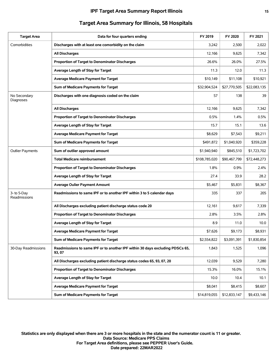| <b>Target Area</b>          | Data for four quarters ending                                                           | FY 2019       | FY 2020      | FY 2021      |
|-----------------------------|-----------------------------------------------------------------------------------------|---------------|--------------|--------------|
| Comorbidities               | Discharges with at least one comorbidity on the claim                                   | 3,242         | 2,500        | 2,022        |
|                             | <b>All Discharges</b>                                                                   | 12,166        | 9,625        | 7,342        |
|                             | Proportion of Target to Denominator Discharges                                          | 26.6%         | 26.0%        | 27.5%        |
|                             | Average Length of Stay for Target                                                       | 11.3          | 12.0         | 11.3         |
|                             | <b>Average Medicare Payment for Target</b>                                              | \$10,149      | \$11,108     | \$10,921     |
|                             | Sum of Medicare Payments for Target                                                     | \$32,904,524  | \$27,770,505 | \$22,083,135 |
| No Secondary<br>Diagnoses   | Discharges with one diagnosis coded on the claim                                        | 57            | 138          | 39           |
|                             | <b>All Discharges</b>                                                                   | 12,166        | 9,625        | 7,342        |
|                             | Proportion of Target to Denominator Discharges                                          | 0.5%          | 1.4%         | 0.5%         |
|                             | Average Length of Stay for Target                                                       | 15.7          | 15.1         | 13.6         |
|                             | <b>Average Medicare Payment for Target</b>                                              | \$8,629       | \$7,543      | \$9,211      |
|                             | Sum of Medicare Payments for Target                                                     | \$491,872     | \$1,040,920  | \$359,228    |
| <b>Outlier Payments</b>     | Sum of outlier approved amount                                                          | \$1,940,940   | \$845,510    | \$1,723,702  |
|                             | <b>Total Medicare reimbursement</b>                                                     | \$108,785,020 | \$90,467,799 | \$72,448,273 |
|                             | Proportion of Target to Denominator Discharges                                          | 1.8%          | 0.9%         | 2.4%         |
|                             | Average Length of Stay for Target                                                       | 27.4          | 33.9         | 28.2         |
|                             | <b>Average Oulier Payment Amount</b>                                                    | \$5,467       | \$5,831      | \$8,367      |
| 3- to 5-Day<br>Readmissions | Readmissions to same IPF or to another IPF within 3 to 5 calendar days                  | 335           | 337          | 205          |
|                             | All Discharges excluding patient discharge status code 20                               | 12,161        | 9,617        | 7,339        |
|                             | Proportion of Target to Denominator Discharges                                          | 2.8%          | 3.5%         | 2.8%         |
|                             | Average Length of Stay for Target                                                       | 8.9           | 11.0         | 10.0         |
|                             | <b>Average Medicare Payment for Target</b>                                              | \$7,626       | \$9,173      | \$8,931      |
|                             | Sum of Medicare Payments for Target                                                     | \$2,554,822   | \$3,091,391  | \$1,830,854  |
| 30-Day Readmissions         | Readmissions to same IPF or to another IPF within 30 days excluding PDSCs 65,<br>93, 07 | 1,843         | 1,525        | 1,096        |
|                             | All Discharges excluding patient discharge status codes 65, 93, 07, 20                  | 12,039        | 9,529        | 7,280        |
|                             | Proportion of Target to Denominator Discharges                                          | 15.3%         | 16.0%        | 15.1%        |
|                             | Average Length of Stay for Target                                                       | 10.0          | 10.4         | 10.1         |
|                             | <b>Average Medicare Payment for Target</b>                                              | \$8,041       | \$8,415      | \$8,607      |
|                             | Sum of Medicare Payments for Target                                                     | \$14,819,055  | \$12,833,147 | \$9,433,146  |

## **Target Area Summary for Illinois, 58 Hospitals**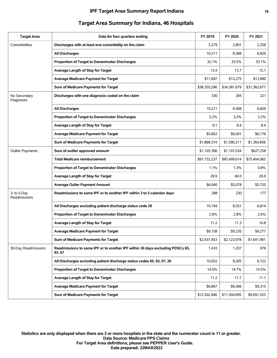#### **IPF Target Area Summary Report Indiana 16**

| <b>Target Area</b>          | Data for four quarters ending                                                           | FY 2019      | FY 2020      | FY 2021      |
|-----------------------------|-----------------------------------------------------------------------------------------|--------------|--------------|--------------|
| Comorbidities               | Discharges with at least one comorbidity on the claim                                   | 3,279        | 2,801        | 2,258        |
|                             | <b>All Discharges</b>                                                                   | 10,211       | 8,368        | 6,826        |
|                             | Proportion of Target to Denominator Discharges                                          | 32.1%        | 33.5%        | 33.1%        |
|                             | Average Length of Stay for Target                                                       | 13.4         | 13.7         | 15.1         |
|                             | <b>Average Medicare Payment for Target</b>                                              | \$11,697     | \$12,275     | \$13,890     |
|                             | Sum of Medicare Payments for Target                                                     | \$38,355,296 | \$34,381,679 | \$31,362,677 |
| No Secondary<br>Diagnoses   | Discharges with one diagnosis coded on the claim                                        | 330          | 265          | 221          |
|                             | <b>All Discharges</b>                                                                   | 10,211       | 8,368        | 6,826        |
|                             | Proportion of Target to Denominator Discharges                                          | 3.2%         | 3.2%         | 3.2%         |
|                             | Average Length of Stay for Target                                                       | 9.1          | 8.4          | 8.4          |
|                             | <b>Average Medicare Payment for Target</b>                                              | \$5,662      | \$6,001      | \$6,176      |
|                             | Sum of Medicare Payments for Target                                                     | \$1,868,314  | \$1,590,211  | \$1,364,856  |
| <b>Outlier Payments</b>     | Sum of outlier approved amount                                                          | \$1,105,398  | \$1,107,034  | \$627,258    |
|                             | <b>Total Medicare reimbursement</b>                                                     | \$97,732,237 | \$85,499,614 | \$75,404,065 |
|                             | Proportion of Target to Denominator Discharges                                          | 1.1%         | 1.3%         | 0.8%         |
|                             | Average Length of Stay for Target                                                       | 29.9         | 40.0         | 29.6         |
|                             | <b>Average Oulier Payment Amount</b>                                                    | \$6,040      | \$5,078      | \$5,755      |
| 3- to 5-Day<br>Readmissions | Readmissions to same IPF or to another IPF within 3 to 5 calendar days                  | 288          | 230          | 177          |
|                             | All Discharges excluding patient discharge status code 20                               | 10,194       | 8,351        | 6,814        |
|                             | Proportion of Target to Denominator Discharges                                          | 2.8%         | 2.8%         | 2.6%         |
|                             | Average Length of Stay for Target                                                       | 11.2         | 11.3         | 10.8         |
|                             | Average Medicare Payment for Target                                                     | \$9,158      | \$9,235      | \$9,277      |
|                             | Sum of Medicare Payments for Target                                                     | \$2,637,453  | \$2,123,978  | \$1,641,961  |
| 30-Day Readmissions         | Readmissions to same IPF or to another IPF within 30 days excluding PDSCs 65,<br>93, 07 | 1,410        | 1,207        | 976          |
|                             | All Discharges excluding patient discharge status codes 65, 93, 07, 20                  | 10,052       | 8,205        | 6,722        |
|                             | Proportion of Target to Denominator Discharges                                          | 14.0%        | 14.7%        | 14.5%        |
|                             | Average Length of Stay for Target                                                       | 11.2         | 11.7         | 11.1         |
|                             | <b>Average Medicare Payment for Target</b>                                              | \$8,867      | \$9,366      | \$9,315      |
|                             | Sum of Medicare Payments for Target                                                     | \$12,502,946 | \$11,304,695 | \$9,091,525  |

# **Target Area Summary for Indiana, 46 Hospitals**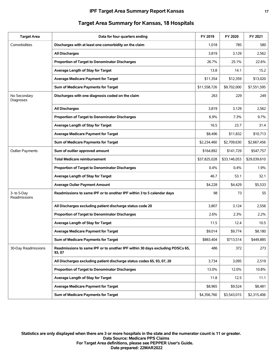#### **IPF Target Area Summary Report Kansas 17**

| <b>Target Area</b>          | Data for four quarters ending                                                           | FY 2019      | FY 2020      | FY 2021      |
|-----------------------------|-----------------------------------------------------------------------------------------|--------------|--------------|--------------|
| Comorbidities               | Discharges with at least one comorbidity on the claim                                   | 1,018        | 785          | 580          |
|                             | <b>All Discharges</b>                                                                   | 3,819        | 3,129        | 2,562        |
|                             | Proportion of Target to Denominator Discharges                                          | 26.7%        | 25.1%        | 22.6%        |
|                             | Average Length of Stay for Target                                                       | 13.8         | 14.1         | 15.2         |
|                             | <b>Average Medicare Payment for Target</b>                                              | \$11,354     | \$12,359     | \$13,020     |
|                             | Sum of Medicare Payments for Target                                                     | \$11,558,726 | \$9,702,000  | \$7,551,595  |
| No Secondary<br>Diagnoses   | Discharges with one diagnosis coded on the claim                                        | 263          | 229          | 249          |
|                             | <b>All Discharges</b>                                                                   | 3,819        | 3,129        | 2,562        |
|                             | Proportion of Target to Denominator Discharges                                          | 6.9%         | 7.3%         | 9.7%         |
|                             | Average Length of Stay for Target                                                       | 16.5         | 23.7         | 31.4         |
|                             | <b>Average Medicare Payment for Target</b>                                              | \$8,496      | \$11,832     | \$10,713     |
|                             | Sum of Medicare Payments for Target                                                     | \$2,234,460  | \$2,709,630  | \$2,667,456  |
| <b>Outlier Payments</b>     | Sum of outlier approved amount                                                          | \$164,892    | \$141,729    | \$547,757    |
|                             | <b>Total Medicare reimbursement</b>                                                     | \$37,825,028 | \$33,146,053 | \$29,039,610 |
|                             | Proportion of Target to Denominator Discharges                                          | 0.4%         | $0.4\%$      | 1.9%         |
|                             | Average Length of Stay for Target                                                       | 46.7         | 53.1         | 32.1         |
|                             | <b>Average Oulier Payment Amount</b>                                                    | \$4,228      | \$4,429      | \$5,533      |
| 3- to 5-Day<br>Readmissions | Readmissions to same IPF or to another IPF within 3 to 5 calendar days                  | 98           | 73           | 55           |
|                             | All Discharges excluding patient discharge status code 20                               | 3,807        | 3,124        | 2,556        |
|                             | Proportion of Target to Denominator Discharges                                          | 2.6%         | 2.3%         | 2.2%         |
|                             | Average Length of Stay for Target                                                       | 11.5         | 12.4         | 10.5         |
|                             | <b>Average Medicare Payment for Target</b>                                              | \$9.014      | \$9,774      | \$8,180      |
|                             | Sum of Medicare Payments for Target                                                     | \$883,404    | \$713,514    | \$449,885    |
| 30-Day Readmissions         | Readmissions to same IPF or to another IPF within 30 days excluding PDSCs 65,<br>93, 07 | 486          | 372          | 273          |
|                             | All Discharges excluding patient discharge status codes 65, 93, 07, 20                  | 3,734        | 3,095        | 2,519        |
|                             | Proportion of Target to Denominator Discharges                                          | 13.0%        | 12.0%        | 10.8%        |
|                             | Average Length of Stay for Target                                                       | 11.8         | 12.5         | 11.1         |
|                             | <b>Average Medicare Payment for Target</b>                                              | \$8,965      | \$9,524      | \$8,481      |
|                             | Sum of Medicare Payments for Target                                                     | \$4,356,760  | \$3,543,015  | \$2,315,406  |

# **Target Area Summary for Kansas, 18 Hospitals**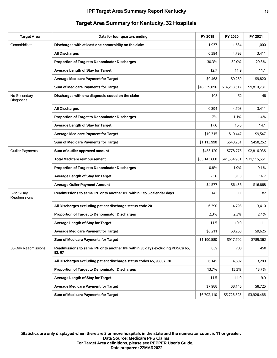| <b>Target Area</b>          | Data for four quarters ending                                                           | FY 2019      | FY 2020      | FY 2021      |
|-----------------------------|-----------------------------------------------------------------------------------------|--------------|--------------|--------------|
| Comorbidities               | Discharges with at least one comorbidity on the claim                                   | 1,937        | 1,534        | 1,000        |
|                             | All Discharges                                                                          | 6,394        | 4,793        | 3,411        |
|                             | Proportion of Target to Denominator Discharges                                          | 30.3%        | 32.0%        | 29.3%        |
|                             | Average Length of Stay for Target                                                       | 12.7         | 11.9         | 11.1         |
|                             | <b>Average Medicare Payment for Target</b>                                              | \$9.468      | \$9,269      | \$9.820      |
|                             | Sum of Medicare Payments for Target                                                     | \$18,339,096 | \$14,218,617 | \$9,819,731  |
| No Secondary<br>Diagnoses   | Discharges with one diagnosis coded on the claim                                        | 108          | 52           | 48           |
|                             | <b>All Discharges</b>                                                                   | 6,394        | 4,793        | 3,411        |
|                             | Proportion of Target to Denominator Discharges                                          | 1.7%         | 1.1%         | 1.4%         |
|                             | Average Length of Stay for Target                                                       | 17.6         | 16.6         | 14.1         |
|                             | <b>Average Medicare Payment for Target</b>                                              | \$10,315     | \$10,447     | \$9,547      |
|                             | Sum of Medicare Payments for Target                                                     | \$1,113,998  | \$543,231    | \$458,252    |
| <b>Outlier Payments</b>     | Sum of outlier approved amount                                                          | \$453,120    | \$778,775    | \$2,816,936  |
|                             | <b>Total Medicare reimbursement</b>                                                     | \$55,143,660 | \$41,534,981 | \$31,115,551 |
|                             | Proportion of Target to Denominator Discharges                                          | 0.8%         | 1.9%         | 9.1%         |
|                             | Average Length of Stay for Target                                                       | 23.6         | 31.3         | 16.7         |
|                             | <b>Average Oulier Payment Amount</b>                                                    | \$4,577      | \$6,436      | \$16,868     |
| 3- to 5-Day<br>Readmissions | Readmissions to same IPF or to another IPF within 3 to 5 calendar days                  | 145          | 111          | 82           |
|                             | All Discharges excluding patient discharge status code 20                               | 6,390        | 4,793        | 3,410        |
|                             | Proportion of Target to Denominator Discharges                                          | 2.3%         | 2.3%         | 2.4%         |
|                             | Average Length of Stay for Target                                                       | 11.5         | 10.9         | 11.1         |
|                             | <b>Average Medicare Payment for Target</b>                                              | \$8,211      | \$8.268      | \$9,626      |
|                             | Sum of Medicare Payments for Target                                                     | \$1,190,580  | \$917,702    | \$789,362    |
| 30-Day Readmissions         | Readmissions to same IPF or to another IPF within 30 days excluding PDSCs 65,<br>93, 07 | 839          | 703          | 450          |
|                             | All Discharges excluding patient discharge status codes 65, 93, 07, 20                  | 6,145        | 4,602        | 3,280        |
|                             | Proportion of Target to Denominator Discharges                                          | 13.7%        | 15.3%        | 13.7%        |
|                             | Average Length of Stay for Target                                                       | 11.5         | 11.0         | 9.9          |
|                             | <b>Average Medicare Payment for Target</b>                                              | \$7,988      | \$8,146      | \$8,725      |
|                             | Sum of Medicare Payments for Target                                                     | \$6,702,110  | \$5,726,525  | \$3,926,466  |

# **Target Area Summary for Kentucky, 32 Hospitals**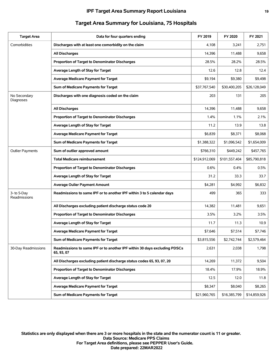#### **IPF Target Area Summary Report Louisiana 19**

| <b>Target Area</b>          | Data for four quarters ending                                                           | FY 2019       | FY 2020       | FY 2021      |
|-----------------------------|-----------------------------------------------------------------------------------------|---------------|---------------|--------------|
| Comorbidities               | Discharges with at least one comorbidity on the claim                                   | 4,108         | 3,241         | 2,751        |
|                             | <b>All Discharges</b>                                                                   | 14,396        | 11,488        | 9,658        |
|                             | <b>Proportion of Target to Denominator Discharges</b>                                   | 28.5%         | 28.2%         | 28.5%        |
|                             | Average Length of Stay for Target                                                       | 12.6          | 12.8          | 12.4         |
|                             | Average Medicare Payment for Target                                                     | \$9,194       | \$9,380       | \$9,498      |
|                             | Sum of Medicare Payments for Target                                                     | \$37,767,540  | \$30,400,205  | \$26,128,049 |
| No Secondary<br>Diagnoses   | Discharges with one diagnosis coded on the claim                                        | 203           | 131           | 205          |
|                             | <b>All Discharges</b>                                                                   | 14,396        | 11,488        | 9,658        |
|                             | Proportion of Target to Denominator Discharges                                          | 1.4%          | 1.1%          | 2.1%         |
|                             | Average Length of Stay for Target                                                       | 11.2          | 13.9          | 13.8         |
|                             | <b>Average Medicare Payment for Target</b>                                              | \$6,839       | \$8,371       | \$8.068      |
|                             | Sum of Medicare Payments for Target                                                     | \$1,388,322   | \$1,096,542   | \$1,654,009  |
| <b>Outlier Payments</b>     | Sum of outlier approved amount                                                          | \$766,310     | \$449,242     | \$457,765    |
|                             | <b>Total Medicare reimbursement</b>                                                     | \$124,912,069 | \$101,557,404 | \$85,790,818 |
|                             | Proportion of Target to Denominator Discharges                                          | 0.6%          | 0.4%          | 0.5%         |
|                             | Average Length of Stay for Target                                                       | 31.2          | 33.3          | 33.7         |
|                             | <b>Average Oulier Payment Amount</b>                                                    | \$4,281       | \$4,992       | \$6,832      |
| 3- to 5-Day<br>Readmissions | Readmissions to same IPF or to another IPF within 3 to 5 calendar days                  | 499           | 365           | 333          |
|                             | All Discharges excluding patient discharge status code 20                               | 14,382        | 11,481        | 9,651        |
|                             | Proportion of Target to Denominator Discharges                                          | 3.5%          | 3.2%          | 3.5%         |
|                             | Average Length of Stay for Target                                                       | 11.7          | 11.3          | 10.9         |
|                             | <b>Average Medicare Payment for Target</b>                                              | \$7,646       | \$7,514       | \$7.746      |
|                             | Sum of Medicare Payments for Target                                                     | \$3,815,556   | \$2,742,744   | \$2,579,464  |
| 30-Day Readmissions         | Readmissions to same IPF or to another IPF within 30 days excluding PDSCs<br>65, 93, 07 | 2,631         | 2,038         | 1,798        |
|                             | All Discharges excluding patient discharge status codes 65, 93, 07, 20                  | 14,269        | 11,372        | 9,504        |
|                             | Proportion of Target to Denominator Discharges                                          | 18.4%         | 17.9%         | 18.9%        |
|                             | Average Length of Stay for Target                                                       | 12.5          | 12.0          | 11.8         |
|                             | <b>Average Medicare Payment for Target</b>                                              | \$8,347       | \$8,040       | \$8,265      |
|                             | Sum of Medicare Payments for Target                                                     | \$21,960,765  | \$16,385,799  | \$14,859,926 |

# **Target Area Summary for Louisiana, 75 Hospitals**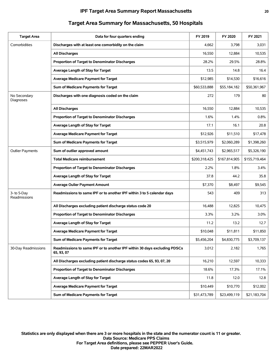| <b>Target Area</b>          | Data for four quarters ending                                                           | FY 2019       | FY 2020       | FY 2021       |
|-----------------------------|-----------------------------------------------------------------------------------------|---------------|---------------|---------------|
| Comorbidities               | Discharges with at least one comorbidity on the claim                                   | 4,662         | 3,798         | 3,031         |
|                             | <b>All Discharges</b>                                                                   | 16,550        | 12,884        | 10,535        |
|                             | Proportion of Target to Denominator Discharges                                          | 28.2%         | 29.5%         | 28.8%         |
|                             | Average Length of Stay for Target                                                       | 13.5          | 14.8          | 16.4          |
|                             | <b>Average Medicare Payment for Target</b>                                              | \$12,985      | \$14,530      | \$16,616      |
|                             | Sum of Medicare Payments for Target                                                     | \$60,533,888  | \$55,184,182  | \$50,361,967  |
| No Secondary<br>Diagnoses   | Discharges with one diagnosis coded on the claim                                        | 272           | 179           | 80            |
|                             | <b>All Discharges</b>                                                                   | 16,550        | 12,884        | 10,535        |
|                             | Proportion of Target to Denominator Discharges                                          | 1.6%          | 1.4%          | 0.8%          |
|                             | Average Length of Stay for Target                                                       | 17.1          | 16.1          | 20.8          |
|                             | <b>Average Medicare Payment for Target</b>                                              | \$12,926      | \$11,510      | \$17,478      |
|                             | Sum of Medicare Payments for Target                                                     | \$3,515,979   | \$2,060,289   | \$1,398,260   |
| <b>Outlier Payments</b>     | Sum of outlier approved amount                                                          | \$4,451,743   | \$2,965,517   | \$5,326,190   |
|                             | <b>Total Medicare reimbursement</b>                                                     | \$200,318,425 | \$167,814,905 | \$155,719,464 |
|                             | <b>Proportion of Target to Denominator Discharges</b>                                   | 2.2%          | 1.8%          | 3.4%          |
|                             | Average Length of Stay for Target                                                       | 37.8          | 44.2          | 35.8          |
|                             | <b>Average Oulier Payment Amount</b>                                                    | \$7,370       | \$8,497       | \$9,545       |
| 3- to 5-Day<br>Readmissions | Readmissions to same IPF or to another IPF within 3 to 5 calendar days                  | 543           | 409           | 313           |
|                             | All Discharges excluding patient discharge status code 20                               | 16,488        | 12,825        | 10,475        |
|                             | Proportion of Target to Denominator Discharges                                          | 3.3%          | 3.2%          | 3.0%          |
|                             | Average Length of Stay for Target                                                       | 11.2          | 13.2          | 12.7          |
|                             | <b>Average Medicare Payment for Target</b>                                              | \$10,048      | \$11,811      | \$11,850      |
|                             | Sum of Medicare Payments for Target                                                     | \$5,456,204   | \$4,830,775   | \$3,709,137   |
| 30-Day Readmissions         | Readmissions to same IPF or to another IPF within 30 days excluding PDSCs<br>65, 93, 07 | 3,012         | 2,182         | 1,765         |
|                             | All Discharges excluding patient discharge status codes 65, 93, 07, 20                  | 16,210        | 12,597        | 10,333        |
|                             | Proportion of Target to Denominator Discharges                                          | 18.6%         | 17.3%         | 17.1%         |
|                             | Average Length of Stay for Target                                                       | 11.8          | 12.0          | 12.8          |
|                             | <b>Average Medicare Payment for Target</b>                                              | \$10,449      | \$10,770      | \$12,002      |
|                             | Sum of Medicare Payments for Target                                                     | \$31,473,789  | \$23,499,119  | \$21,183,704  |

# **Target Area Summary for Massachusetts, 50 Hospitals**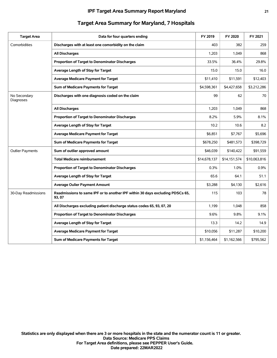| <b>Target Area</b>        | Data for four quarters ending                                                           | FY 2019      | FY 2020      | FY 2021      |
|---------------------------|-----------------------------------------------------------------------------------------|--------------|--------------|--------------|
| Comorbidities             | Discharges with at least one comorbidity on the claim                                   | 403          | 382          | 259          |
|                           | <b>All Discharges</b>                                                                   | 1,203        | 1,049        | 868          |
|                           | Proportion of Target to Denominator Discharges                                          | 33.5%        | 36.4%        | 29.8%        |
|                           | Average Length of Stay for Target                                                       | 15.0         | 15.0         | 16.0         |
|                           | <b>Average Medicare Payment for Target</b>                                              | \$11,410     | \$11,591     | \$12,403     |
|                           | Sum of Medicare Payments for Target                                                     | \$4,598,361  | \$4,427,658  | \$3,212,286  |
| No Secondary<br>Diagnoses | Discharges with one diagnosis coded on the claim                                        | 99           | 62           | 70           |
|                           | <b>All Discharges</b>                                                                   | 1,203        | 1,049        | 868          |
|                           | Proportion of Target to Denominator Discharges                                          | 8.2%         | 5.9%         | 8.1%         |
|                           | Average Length of Stay for Target                                                       | 10.2         | 10.6         | 8.2          |
|                           | <b>Average Medicare Payment for Target</b>                                              | \$6,851      | \$7,767      | \$5,696      |
|                           | Sum of Medicare Payments for Target                                                     | \$678,250    | \$481,573    | \$398,729    |
| <b>Outlier Payments</b>   | Sum of outlier approved amount                                                          | \$46,039     | \$140,422    | \$91,559     |
|                           | <b>Total Medicare reimbursement</b>                                                     | \$14,678,137 | \$14,151,574 | \$10,063,816 |
|                           | Proportion of Target to Denominator Discharges                                          | $0.3\%$      | 1.0%         | 0.9%         |
|                           | Average Length of Stay for Target                                                       | 65.6         | 64.1         | 51.1         |
|                           | <b>Average Oulier Payment Amount</b>                                                    | \$3,288      | \$4,130      | \$2,616      |
| 30-Day Readmissions       | Readmissions to same IPF or to another IPF within 30 days excluding PDSCs 65,<br>93, 07 | 115          | 103          | 78           |
|                           | All Discharges excluding patient discharge status codes 65, 93, 07, 20                  | 1,199        | 1,048        | 858          |
|                           | <b>Proportion of Target to Denominator Discharges</b>                                   | 9.6%         | 9.8%         | 9.1%         |
|                           | Average Length of Stay for Target                                                       | 13.3         | 14.2         | 14.9         |
|                           | <b>Average Medicare Payment for Target</b>                                              | \$10,056     | \$11,287     | \$10,200     |
|                           | Sum of Medicare Payments for Target                                                     | \$1,156,464  | \$1,162,566  | \$795,562    |
|                           |                                                                                         |              |              |              |

## **Target Area Summary for Maryland, 7 Hospitals**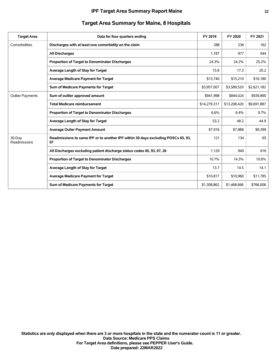| <b>Target Area</b>      | Data for four quarters ending                                                           | FY 2019      | FY 2020      | FY 2021     |
|-------------------------|-----------------------------------------------------------------------------------------|--------------|--------------|-------------|
| Comorbidities           | Discharges with at least one comorbidity on the claim                                   | 288          | 236          | 162         |
|                         | <b>All Discharges</b>                                                                   | 1,187        | 977          | 644         |
|                         | <b>Proportion of Target to Denominator Discharges</b>                                   | 24.3%        | 24.2%        | 25.2%       |
|                         | Average Length of Stay for Target                                                       | 15.8         | 17.3         | 20.2        |
|                         | <b>Average Medicare Payment for Target</b>                                              | \$13,740     | \$15,210     | \$16,180    |
|                         | Sum of Medicare Payments for Target                                                     | \$3,957,007  | \$3,589,520  | \$2,621,182 |
| <b>Outlier Payments</b> | Sum of outlier approved amount                                                          | \$941,998    | \$844,024    | \$939,890   |
|                         | <b>Total Medicare reimbursement</b>                                                     | \$14,279,317 | \$13,208,420 | \$9,691,887 |
|                         | <b>Proportion of Target to Denominator Discharges</b>                                   | 6.6%         | 6.4%         | 9.7%        |
|                         | Average Length of Stay for Target                                                       | 53.2         | 48.2         | 44.9        |
|                         | <b>Average Oulier Payment Amount</b>                                                    | \$7,916      | \$7,888      | \$9,399     |
| 30-Day<br>Readmissions  | Readmissions to same IPF or to another IPF within 30 days excluding PDSCs 65, 93,<br>07 | 121          | 134          | 65          |
|                         | All Discharges excluding patient discharge status codes 65, 93, 07, 20                  | 1,129        | 940          | 616         |
|                         | Proportion of Target to Denominator Discharges                                          | 10.7%        | 14.3%        | 10.6%       |
|                         | Average Length of Stay for Target                                                       | 13.7         | 14.5         | 14.1        |
|                         | <b>Average Medicare Payment for Target</b>                                              | \$10,817     | \$10,960     | \$11,785    |
|                         | Sum of Medicare Payments for Target                                                     | \$1,308,862  | \$1,468,666  | \$766,006   |

## **Target Area Summary for Maine, 8 Hospitals**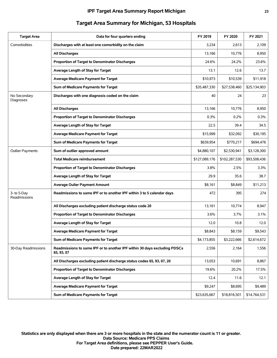#### **IPF Target Area Summary Report Michigan 23**

| <b>Target Area</b>          | Data for four quarters ending                                                           | FY 2019       | FY 2020       | FY 2021      |
|-----------------------------|-----------------------------------------------------------------------------------------|---------------|---------------|--------------|
| Comorbidities               | Discharges with at least one comorbidity on the claim                                   | 3,234         | 2,613         | 2,109        |
|                             | All Discharges                                                                          | 13,166        | 10,776        | 8,950        |
|                             | Proportion of Target to Denominator Discharges                                          | 24.6%         | 24.2%         | 23.6%        |
|                             | Average Length of Stay for Target                                                       | 13.1          | 12.6          | 13.7         |
|                             | <b>Average Medicare Payment for Target</b>                                              | \$10,973      | \$10,539      | \$11,918     |
|                             | Sum of Medicare Payments for Target                                                     | \$35,487,330  | \$27,538,460  | \$25,134,903 |
| No Secondary<br>Diagnoses   | Discharges with one diagnosis coded on the claim                                        | 40            | 24            | 23           |
|                             | All Discharges                                                                          | 13,166        | 10,776        | 8,950        |
|                             | Proportion of Target to Denominator Discharges                                          | 0.3%          | 0.2%          | 0.3%         |
|                             | Average Length of Stay for Target                                                       | 22.5          | 39.4          | 34.5         |
|                             | <b>Average Medicare Payment for Target</b>                                              | \$15,999      | \$32,092      | \$30,195     |
|                             | Sum of Medicare Payments for Target                                                     | \$639,954     | \$770,217     | \$694,476    |
| <b>Outlier Payments</b>     | Sum of outlier approved amount                                                          | \$4,880,107   | \$2,530,941   | \$3,128,300  |
|                             | <b>Total Medicare reimbursement</b>                                                     | \$127,089,176 | \$102,287,530 | \$93,508,436 |
|                             | <b>Proportion of Target to Denominator Discharges</b>                                   | 3.8%          | 2.5%          | 3.3%         |
|                             | Average Length of Stay for Target                                                       | 29.9          | 35.6          | 38.7         |
|                             | <b>Average Oulier Payment Amount</b>                                                    | \$8,161       | \$8,849       | \$11,213     |
| 3- to 5-Day<br>Readmissions | Readmissions to same IPF or to another IPF within 3 to 5 calendar days                  | 472           | 395           | 274          |
|                             | All Discharges excluding patient discharge status code 20                               | 13,161        | 10,774        | 8,947        |
|                             | Proportion of Target to Denominator Discharges                                          | 3.6%          | 3.7%          | 3.1%         |
|                             | Average Length of Stay for Target                                                       | 12.0          | 10.8          | 12.0         |
|                             | <b>Average Medicare Payment for Target</b>                                              | \$8,843       | \$8,159       | \$9,543      |
|                             | Sum of Medicare Payments for Target                                                     | \$4,173,855   | \$3,222,666   | \$2,614,672  |
| 30-Day Readmissions         | Readmissions to same IPF or to another IPF within 30 days excluding PDSCs<br>65, 93, 07 | 2,556         | 2,164         | 1,556        |
|                             | All Discharges excluding patient discharge status codes 65, 93, 07, 20                  | 13,053        | 10,691        | 8,867        |
|                             | Proportion of Target to Denominator Discharges                                          | 19.6%         | 20.2%         | 17.5%        |
|                             | Average Length of Stay for Target                                                       | 12.4          | 11.6          | 12.1         |
|                             | <b>Average Medicare Payment for Target</b>                                              | \$9,247       | \$8,695       | \$9,489      |
|                             | Sum of Medicare Payments for Target                                                     | \$23,635,667  | \$18,816,501  | \$14,764,531 |

## **Target Area Summary for Michigan, 53 Hospitals**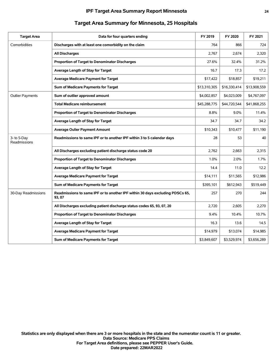| <b>Target Area</b>          | Data for four quarters ending                                                           | FY 2019      | FY 2020      | FY 2021      |
|-----------------------------|-----------------------------------------------------------------------------------------|--------------|--------------|--------------|
| Comorbidities               | Discharges with at least one comorbidity on the claim                                   | 764          | 866          | 724          |
|                             | <b>All Discharges</b>                                                                   | 2,767        | 2.674        | 2,320        |
|                             | Proportion of Target to Denominator Discharges                                          | 27.6%        | 32.4%        | 31.2%        |
|                             | Average Length of Stay for Target                                                       | 16.7         | 17.3         | 17.2         |
|                             | <b>Average Medicare Payment for Target</b>                                              | \$17,422     | \$18,857     | \$19,211     |
|                             | Sum of Medicare Payments for Target                                                     | \$13,310,305 | \$16,330,414 | \$13,908,559 |
| <b>Outlier Payments</b>     | Sum of outlier approved amount                                                          | \$4,002,857  | \$4,023,009  | \$4,767,097  |
|                             | <b>Total Medicare reimbursement</b>                                                     | \$45,288,775 | \$44,720,544 | \$41,868,255 |
|                             | Proportion of Target to Denominator Discharges                                          | 8.8%         | 9.0%         | 11.4%        |
|                             | Average Length of Stay for Target                                                       | 34.7         | 34.7         | 34.2         |
|                             | <b>Average Oulier Payment Amount</b>                                                    | \$10,343     | \$10,477     | \$11,190     |
| 3- to 5-Day<br>Readmissions | Readmissions to same IPF or to another IPF within 3 to 5 calendar days                  | 28           | 53           | 40           |
|                             | All Discharges excluding patient discharge status code 20                               | 2,762        | 2,663        | 2,315        |
|                             | Proportion of Target to Denominator Discharges                                          | 1.0%         | 2.0%         | 1.7%         |
|                             | Average Length of Stay for Target                                                       | 14.4         | 11.0         | 12.2         |
|                             | <b>Average Medicare Payment for Target</b>                                              | \$14,111     | \$11,565     | \$12,986     |
|                             | Sum of Medicare Payments for Target                                                     | \$395,101    | \$612,943    | \$519,449    |
| 30-Day Readmissions         | Readmissions to same IPF or to another IPF within 30 days excluding PDSCs 65,<br>93, 07 | 257          | 270          | 244          |
|                             | All Discharges excluding patient discharge status codes 65, 93, 07, 20                  | 2,720        | 2,605        | 2,270        |
|                             | Proportion of Target to Denominator Discharges                                          | 9.4%         | 10.4%        | 10.7%        |
|                             | Average Length of Stay for Target                                                       | 16.3         | 13.6         | 14.5         |
|                             | <b>Average Medicare Payment for Target</b>                                              | \$14,979     | \$13,074     | \$14,985     |
|                             | Sum of Medicare Payments for Target                                                     | \$3,849,607  | \$3,529,974  | \$3,656,289  |

## **Target Area Summary for Minnesota, 25 Hospitals**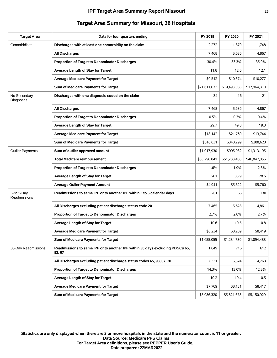| <b>Target Area</b>          | Data for four quarters ending                                                           | FY 2019      | FY 2020      | FY 2021      |
|-----------------------------|-----------------------------------------------------------------------------------------|--------------|--------------|--------------|
| Comorbidities               | Discharges with at least one comorbidity on the claim                                   | 2,272        | 1,879        | 1,748        |
|                             | <b>All Discharges</b>                                                                   | 7,468        | 5,636        | 4,867        |
|                             | Proportion of Target to Denominator Discharges                                          | 30.4%        | 33.3%        | 35.9%        |
|                             | Average Length of Stay for Target                                                       | 11.8         | 12.6         | 12.1         |
|                             | <b>Average Medicare Payment for Target</b>                                              | \$9,512      | \$10,374     | \$10,277     |
|                             | Sum of Medicare Payments for Target                                                     | \$21,611,632 | \$19,493,508 | \$17,964,310 |
| No Secondary<br>Diagnoses   | Discharges with one diagnosis coded on the claim                                        | 34           | 16           | 21           |
|                             | <b>All Discharges</b>                                                                   | 7,468        | 5,636        | 4,867        |
|                             | Proportion of Target to Denominator Discharges                                          | 0.5%         | 0.3%         | 0.4%         |
|                             | Average Length of Stay for Target                                                       | 29.7         | 49.8         | 19.3         |
|                             | <b>Average Medicare Payment for Target</b>                                              | \$18,142     | \$21,769     | \$13,744     |
|                             | Sum of Medicare Payments for Target                                                     | \$616,831    | \$348,299    | \$288,623    |
| <b>Outlier Payments</b>     | Sum of outlier approved amount                                                          | \$1,017,930  | \$995,032    | \$1,313,195  |
|                             | <b>Total Medicare reimbursement</b>                                                     | \$63,298,041 | \$51,788,408 | \$46,847,056 |
|                             | <b>Proportion of Target to Denominator Discharges</b>                                   | 1.6%         | 1.9%         | 2.8%         |
|                             | Average Length of Stay for Target                                                       | 34.1         | 33.9         | 28.5         |
|                             | <b>Average Oulier Payment Amount</b>                                                    | \$4,941      | \$5,622      | \$5,760      |
| 3- to 5-Day<br>Readmissions | Readmissions to same IPF or to another IPF within 3 to 5 calendar days                  | 201          | 155          | 130          |
|                             | All Discharges excluding patient discharge status code 20                               | 7,465        | 5,628        | 4,861        |
|                             | Proportion of Target to Denominator Discharges                                          | 2.7%         | 2.8%         | 2.7%         |
|                             | Average Length of Stay for Target                                                       | 10.6         | 10.5         | 10.8         |
|                             | <b>Average Medicare Payment for Target</b>                                              | \$8,234      | \$8,289      | \$8,419      |
|                             | Sum of Medicare Payments for Target                                                     | \$1,655,055  | \$1,284,739  | \$1,094,488  |
| 30-Day Readmissions         | Readmissions to same IPF or to another IPF within 30 days excluding PDSCs 65,<br>93, 07 | 1,049        | 716          | 612          |
|                             | All Discharges excluding patient discharge status codes 65, 93, 07, 20                  | 7,331        | 5,524        | 4,763        |
|                             | Proportion of Target to Denominator Discharges                                          | 14.3%        | 13.0%        | 12.8%        |
|                             | Average Length of Stay for Target                                                       | 10.2         | 10.4         | 10.5         |
|                             | <b>Average Medicare Payment for Target</b>                                              | \$7,709      | \$8,131      | \$8,417      |
|                             | Sum of Medicare Payments for Target                                                     | \$8,086,320  | \$5,821,678  | \$5,150,929  |

# **Target Area Summary for Missouri, 36 Hospitals**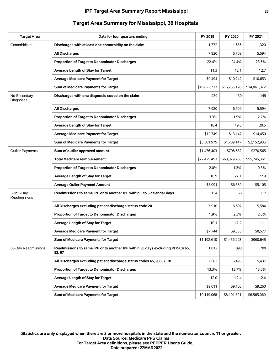#### **IPF Target Area Summary Report Mississippi 26**

| <b>Target Area</b>          | Data for four quarters ending                                                           | FY 2019      | FY 2020      | FY 2021      |
|-----------------------------|-----------------------------------------------------------------------------------------|--------------|--------------|--------------|
| Comorbidities               | Discharges with at least one comorbidity on the claim                                   | 1,772        | 1,636        | 1,320        |
|                             | <b>All Discharges</b>                                                                   | 7,920        | 6,709        | 5,594        |
|                             | Proportion of Target to Denominator Discharges                                          | 22.4%        | 24.4%        | 23.6%        |
|                             | Average Length of Stay for Target                                                       | 11.3         | 12.1         | 12.7         |
|                             | <b>Average Medicare Payment for Target</b>                                              | \$9,494      | \$10,242     | \$10,653     |
|                             | Sum of Medicare Payments for Target                                                     | \$16,822,713 | \$16,755,126 | \$14,061,372 |
| No Secondary<br>Diagnoses   | Discharges with one diagnosis coded on the claim                                        | 259          | 130          | 149          |
|                             | <b>All Discharges</b>                                                                   | 7,920        | 6,709        | 5,594        |
|                             | Proportion of Target to Denominator Discharges                                          | 3.3%         | 1.9%         | 2.7%         |
|                             | Average Length of Stay for Target                                                       | 18.4         | 19.8         | 20.5         |
|                             | <b>Average Medicare Payment for Target</b>                                              | \$12,749     | \$13,147     | \$14,450     |
|                             | Sum of Medicare Payments for Target                                                     | \$3,301,975  | \$1,709,147  | \$2,152,985  |
| <b>Outlier Payments</b>     | Sum of outlier approved amount                                                          | \$1,476,403  | \$798,632    | \$270,565    |
|                             | <b>Total Medicare reimbursement</b>                                                     | \$72,425,453 | \$63,079,738 | \$55,745,361 |
|                             | <b>Proportion of Target to Denominator Discharges</b>                                   | 2.0%         | 1.3%         | 0.5%         |
|                             | Average Length of Stay for Target                                                       | 16.9         | 27.1         | 22.9         |
|                             | <b>Average Oulier Payment Amount</b>                                                    | \$5,091      | \$6,389      | \$5,105      |
| 3- to 5-Day<br>Readmissions | Readmissions to same IPF or to another IPF within 3 to 5 calendar days                  | 154          | 156          | 112          |
|                             | All Discharges excluding patient discharge status code 20                               | 7,910        | 6,697        | 5,584        |
|                             | Proportion of Target to Denominator Discharges                                          | 1.9%         | 2.3%         | 2.0%         |
|                             | Average Length of Stay for Target                                                       | 10.1         | 12.2         | 11.1         |
|                             | <b>Average Medicare Payment for Target</b>                                              | \$7,744      | \$9,335      | \$8,577      |
|                             | Sum of Medicare Payments for Target                                                     | \$1,192,610  | \$1,456,203  | \$960,645    |
| 30-Day Readmissions         | Readmissions to same IPF or to another IPF within 30 days excluding PDSCs 65,<br>93, 07 | 1,012        | 890          | 709          |
|                             | All Discharges excluding patient discharge status codes 65, 93, 07, 20                  | 7,583        | 6,495        | 5,437        |
|                             | Proportion of Target to Denominator Discharges                                          | 13.3%        | 13.7%        | 13.0%        |
|                             | Average Length of Stay for Target                                                       | 12.0         | 12.4         | 12.4         |
|                             | <b>Average Medicare Payment for Target</b>                                              | \$9,011      | \$9,103      | \$9,260      |
|                             | Sum of Medicare Payments for Target                                                     | \$9,119,068  | \$8,101,591  | \$6,565,060  |

# **Target Area Summary for Mississippi, 36 Hospitals**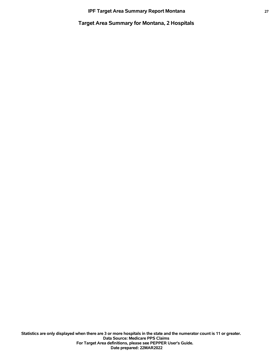**Target Area Summary for Montana, 2 Hospitals**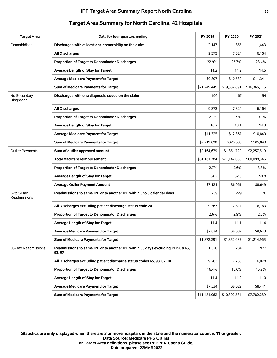| <b>Target Area</b>          | Data for four quarters ending                                                           | FY 2019      | FY 2020      | FY 2021      |
|-----------------------------|-----------------------------------------------------------------------------------------|--------------|--------------|--------------|
| Comorbidities               | Discharges with at least one comorbidity on the claim                                   | 2,147        | 1,855        | 1,443        |
|                             | <b>All Discharges</b>                                                                   | 9,373        | 7,824        | 6,164        |
|                             | <b>Proportion of Target to Denominator Discharges</b>                                   | 22.9%        | 23.7%        | 23.4%        |
|                             | Average Length of Stay for Target                                                       | 14.2         | 14.2         | 14.5         |
|                             | <b>Average Medicare Payment for Target</b>                                              | \$9,897      | \$10,530     | \$11,341     |
|                             | Sum of Medicare Payments for Target                                                     | \$21,249,445 | \$19,532,891 | \$16,365,115 |
| No Secondary<br>Diagnoses   | Discharges with one diagnosis coded on the claim                                        | 196          | 67           | 54           |
|                             | <b>All Discharges</b>                                                                   | 9,373        | 7,824        | 6,164        |
|                             | Proportion of Target to Denominator Discharges                                          | 2.1%         | 0.9%         | 0.9%         |
|                             | Average Length of Stay for Target                                                       | 16.2         | 18.1         | 14.3         |
|                             | <b>Average Medicare Payment for Target</b>                                              | \$11,325     | \$12,367     | \$10.849     |
|                             | Sum of Medicare Payments for Target                                                     | \$2,219,690  | \$828,606    | \$585,843    |
| <b>Outlier Payments</b>     | Sum of outlier approved amount                                                          | \$2,164,679  | \$1,851,722  | \$2,257,519  |
|                             | <b>Total Medicare reimbursement</b>                                                     | \$81,161,784 | \$71,142,088 | \$60,098,346 |
|                             | Proportion of Target to Denominator Discharges                                          | 2.7%         | 2.6%         | 3.8%         |
|                             | Average Length of Stay for Target                                                       | 54.2         | 52.8         | 50.8         |
|                             | <b>Average Oulier Payment Amount</b>                                                    | \$7,121      | \$6,961      | \$8,649      |
| 3- to 5-Day<br>Readmissions | Readmissions to same IPF or to another IPF within 3 to 5 calendar days                  | 239          | 229          | 126          |
|                             | All Discharges excluding patient discharge status code 20                               | 9,367        | 7,817        | 6,163        |
|                             | Proportion of Target to Denominator Discharges                                          | 2.6%         | 2.9%         | 2.0%         |
|                             | Average Length of Stay for Target                                                       | 11.4         | 11.1         | 11.4         |
|                             | <b>Average Medicare Payment for Target</b>                                              | \$7,834      | \$8,082      | \$9,643      |
|                             | Sum of Medicare Payments for Target                                                     | \$1,872,291  | \$1,850,685  | \$1,214,965  |
| 30-Day Readmissions         | Readmissions to same IPF or to another IPF within 30 days excluding PDSCs 65,<br>93, 07 | 1,520        | 1,284        | 922          |
|                             | All Discharges excluding patient discharge status codes 65, 93, 07, 20                  | 9,263        | 7,735        | 6,078        |
|                             | Proportion of Target to Denominator Discharges                                          | 16.4%        | 16.6%        | 15.2%        |
|                             | Average Length of Stay for Target                                                       | 11.4         | 11.2         | 11.0         |
|                             | <b>Average Medicare Payment for Target</b>                                              | \$7,534      | \$8,022      | \$8,441      |
|                             | Sum of Medicare Payments for Target                                                     | \$11,451,962 | \$10,300,584 | \$7,782,289  |

# **Target Area Summary for North Carolina, 42 Hospitals**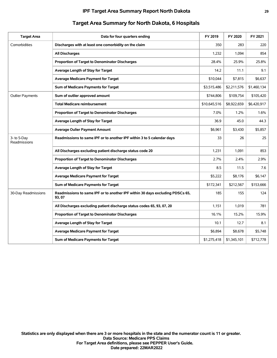| <b>Target Area</b>          | Data for four quarters ending                                                           | FY 2019      | FY 2020     | FY 2021     |
|-----------------------------|-----------------------------------------------------------------------------------------|--------------|-------------|-------------|
| Comorbidities               | Discharges with at least one comorbidity on the claim                                   | 350          | 283         | 220         |
|                             | <b>All Discharges</b>                                                                   | 1,232        | 1,094       | 854         |
|                             | Proportion of Target to Denominator Discharges                                          | 28.4%        | 25.9%       | 25.8%       |
|                             | Average Length of Stay for Target                                                       | 14.2         | 11.1        | 9.1         |
|                             | Average Medicare Payment for Target                                                     | \$10,044     | \$7,815     | \$6,637     |
|                             | Sum of Medicare Payments for Target                                                     | \$3,515,486  | \$2,211,576 | \$1,460,134 |
| <b>Outlier Payments</b>     | Sum of outlier approved amount                                                          | \$744,806    | \$109,754   | \$105,420   |
|                             | <b>Total Medicare reimbursement</b>                                                     | \$10,645,516 | \$8,922,659 | \$6,420,917 |
|                             | Proportion of Target to Denominator Discharges                                          | 7.0%         | 1.2%        | 1.6%        |
|                             | Average Length of Stay for Target                                                       | 36.9         | 45.0        | 44.3        |
|                             | <b>Average Oulier Payment Amount</b>                                                    | \$6,961      | \$3,430     | \$5,857     |
| 3- to 5-Day<br>Readmissions | Readmissions to same IPF or to another IPF within 3 to 5 calendar days                  | 33           | 26          | 25          |
|                             | All Discharges excluding patient discharge status code 20                               | 1,231        | 1,091       | 853         |
|                             | Proportion of Target to Denominator Discharges                                          | 2.7%         | 2.4%        | 2.9%        |
|                             | Average Length of Stay for Target                                                       | 8.5          | 11.5        | 7.6         |
|                             | <b>Average Medicare Payment for Target</b>                                              | \$5,222      | \$8,176     | \$6,147     |
|                             | Sum of Medicare Payments for Target                                                     | \$172,341    | \$212,567   | \$153,666   |
| 30-Day Readmissions         | Readmissions to same IPF or to another IPF within 30 days excluding PDSCs 65,<br>93, 07 | 185          | 155         | 124         |
|                             | All Discharges excluding patient discharge status codes 65, 93, 07, 20                  | 1,151        | 1,019       | 781         |
|                             | Proportion of Target to Denominator Discharges                                          | 16.1%        | 15.2%       | 15.9%       |
|                             | Average Length of Stay for Target                                                       | 10.1         | 12.7        | 8.1         |
|                             | <b>Average Medicare Payment for Target</b>                                              | \$6,894      | \$8,678     | \$5,748     |
|                             | Sum of Medicare Payments for Target                                                     | \$1,275,418  | \$1,345,101 | \$712,778   |

# **Target Area Summary for North Dakota, 6 Hospitals**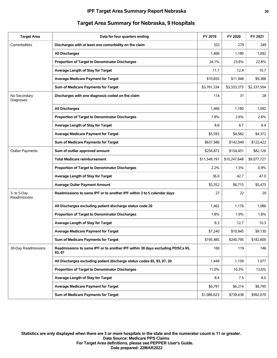| <b>Target Area</b>          | Data for four quarters ending                                                           | FY 2019      | FY 2020      | FY 2021     |
|-----------------------------|-----------------------------------------------------------------------------------------|--------------|--------------|-------------|
| Comorbidities               | Discharges with at least one comorbidity on the claim                                   | 353          | 279          | 249         |
|                             | <b>All Discharges</b>                                                                   | 1,466        | 1,180        | 1,092       |
|                             | Proportion of Target to Denominator Discharges                                          | 24.1%        | 23.6%        | 22.8%       |
|                             | Average Length of Stay for Target                                                       | 11.7         | 12.4         | 10.7        |
|                             | <b>Average Medicare Payment for Target</b>                                              | \$10,655     | \$11,948     | \$9,388     |
|                             | Sum of Medicare Payments for Target                                                     | \$3,761,334  | \$3,333,375  | \$2,337,504 |
| No Secondary<br>Diagnoses   | Discharges with one diagnosis coded on the claim                                        | 114          | 31           | 28          |
|                             | <b>All Discharges</b>                                                                   | 1,466        | 1,180        | 1,092       |
|                             | Proportion of Target to Denominator Discharges                                          | 7.8%         | 2.6%         | 2.6%        |
|                             | Average Length of Stay for Target                                                       | 8.6          | 6.7          | 6.4         |
|                             | <b>Average Medicare Payment for Target</b>                                              | \$5,593      | \$4,582      | \$4,372     |
|                             | Sum of Medicare Payments for Target                                                     | \$637,586    | \$142,049    | \$122,422   |
| <b>Outlier Payments</b>     | Sum of outlier approved amount                                                          | \$256.872    | \$154,451    | \$82,126    |
|                             | <b>Total Medicare reimbursement</b>                                                     | \$11,549,191 | \$10,247,648 | \$9,077,727 |
|                             | Proportion of Target to Denominator Discharges                                          | 2.2%         | 1.5%         | 0.9%        |
|                             | Average Length of Stay for Target                                                       | 36.0         | 42.7         | 47.0        |
|                             | <b>Average Oulier Payment Amount</b>                                                    | \$5,352      | \$6,715      | \$5,475     |
| 3- to 5-Day<br>Readmissions | Readmissions to same IPF or to another IPF within 3 to 5 calendar days                  | 27           | 22           | 20          |
|                             | All Discharges excluding patient discharge status code 20                               | 1,462        | 1,176        | 1,086       |
|                             | <b>Proportion of Target to Denominator Discharges</b>                                   | 1.8%         | 1.9%         | 1.8%        |
|                             | Average Length of Stay for Target                                                       | 8.3          | 12.7         | 10.3        |
|                             | <b>Average Medicare Payment for Target</b>                                              | \$7.240      | \$10,945     | \$9,130     |
|                             | Sum of Medicare Payments for Target                                                     | \$195,485    | \$240,795    | \$182,600   |
| 30-Day Readmissions         | Readmissions to same IPF or to another IPF within 30 days excluding PDSCs 65,<br>93, 07 | 160          | 119          | 146         |
|                             | All Discharges excluding patient discharge status codes 65, 93, 07, 20                  | 1,449        | 1,159        | 1,077       |
|                             | Proportion of Target to Denominator Discharges                                          | 11.0%        | 10.3%        | 13.6%       |
|                             | Average Length of Stay for Target                                                       | 8.4          | 7.5          | 8.0         |
|                             | <b>Average Medicare Payment for Target</b>                                              | \$6,791      | \$6,214      | \$6,795     |
|                             | Sum of Medicare Payments for Target                                                     | \$1,086,623  | \$739,438    | \$992,070   |

## **Target Area Summary for Nebraska, 9 Hospitals**

**Date prepared: 22MAR2022 For Target Area definitions, please see PEPPER User's Guide. Data Source: Medicare PPS Claims Statistics are only displayed when there are 3 or more hospitals in the state and the numerator count is 11 or greater.**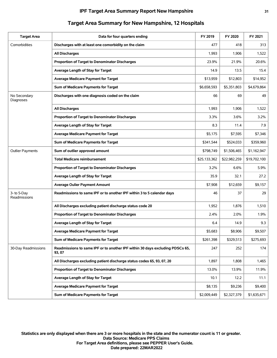| <b>Target Area</b>          | Data for four quarters ending                                                           | FY 2019      | FY 2020      | FY 2021      |
|-----------------------------|-----------------------------------------------------------------------------------------|--------------|--------------|--------------|
| Comorbidities               | Discharges with at least one comorbidity on the claim                                   | 477          | 418          | 313          |
|                             | <b>All Discharges</b>                                                                   | 1,993        | 1,906        | 1,522        |
|                             | Proportion of Target to Denominator Discharges                                          | 23.9%        | 21.9%        | 20.6%        |
|                             | Average Length of Stay for Target                                                       | 14.9         | 13.5         | 15.4         |
|                             | <b>Average Medicare Payment for Target</b>                                              | \$13,959     | \$12,803     | \$14,952     |
|                             | Sum of Medicare Payments for Target                                                     | \$6,658,593  | \$5,351,803  | \$4,679,864  |
| No Secondary<br>Diagnoses   | Discharges with one diagnosis coded on the claim                                        | 66           | 69           | 49           |
|                             | <b>All Discharges</b>                                                                   | 1,993        | 1,906        | 1,522        |
|                             | Proportion of Target to Denominator Discharges                                          | 3.3%         | 3.6%         | 3.2%         |
|                             | Average Length of Stay for Target                                                       | 8.3          | 11.4         | 7.9          |
|                             | <b>Average Medicare Payment for Target</b>                                              | \$5,175      | \$7,595      | \$7,346      |
|                             | Sum of Medicare Payments for Target                                                     | \$341,544    | \$524,033    | \$359,960    |
| <b>Outlier Payments</b>     | Sum of outlier approved amount                                                          | \$798,749    | \$1,506,465  | \$1,162,947  |
|                             | <b>Total Medicare reimbursement</b>                                                     | \$25,133,362 | \$22,982,259 | \$19,702,100 |
|                             | <b>Proportion of Target to Denominator Discharges</b>                                   | 3.2%         | 6.6%         | 5.9%         |
|                             | Average Length of Stay for Target                                                       | 35.9         | 32.1         | 27.2         |
|                             | <b>Average Oulier Payment Amount</b>                                                    | \$7,908      | \$12,659     | \$9,157      |
| 3- to 5-Day<br>Readmissions | Readmissions to same IPF or to another IPF within 3 to 5 calendar days                  | 46           | 37           | 29           |
|                             | All Discharges excluding patient discharge status code 20                               | 1,952        | 1,876        | 1,510        |
|                             | Proportion of Target to Denominator Discharges                                          | 2.4%         | 2.0%         | 1.9%         |
|                             | Average Length of Stay for Target                                                       | 6.4          | 14.9         | 9.3          |
|                             | <b>Average Medicare Payment for Target</b>                                              | \$5,683      | \$8,906      | \$9,507      |
|                             | Sum of Medicare Payments for Target                                                     | \$261,398    | \$329,513    | \$275,693    |
| 30-Day Readmissions         | Readmissions to same IPF or to another IPF within 30 days excluding PDSCs 65,<br>93, 07 | 247          | 252          | 174          |
|                             | All Discharges excluding patient discharge status codes 65, 93, 07, 20                  | 1,897        | 1,808        | 1,465        |
|                             | Proportion of Target to Denominator Discharges                                          | 13.0%        | 13.9%        | 11.9%        |
|                             | Average Length of Stay for Target                                                       | 10.1         | 12.2         | 11.1         |
|                             | <b>Average Medicare Payment for Target</b>                                              | \$8,135      | \$9,236      | \$9,400      |
|                             | Sum of Medicare Payments for Target                                                     | \$2,009,449  | \$2,327,379  | \$1,635,671  |

# **Target Area Summary for New Hampshire, 12 Hospitals**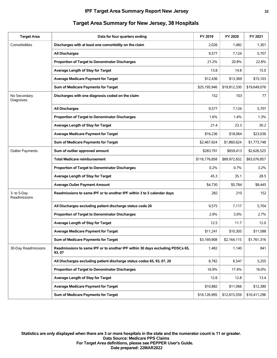| <b>Target Area</b>          | Data for four quarters ending                                                           | FY 2019       | FY 2020      | FY 2021      |
|-----------------------------|-----------------------------------------------------------------------------------------|---------------|--------------|--------------|
| Comorbidities               | Discharges with at least one comorbidity on the claim                                   | 2,026         | 1,482        | 1,301        |
|                             | <b>All Discharges</b>                                                                   | 9,577         | 7,124        | 5,707        |
|                             | Proportion of Target to Denominator Discharges                                          | 21.2%         | 20.8%        | 22.8%        |
|                             | Average Length of Stay for Target                                                       | 13.8          | 14.8         | 15.0         |
|                             | <b>Average Medicare Payment for Target</b>                                              | \$12,436      | \$13,369     | \$15,103     |
|                             | Sum of Medicare Payments for Target                                                     | \$25,195,946  | \$19,812,330 | \$19,649,076 |
| No Secondary<br>Diagnoses   | Discharges with one diagnosis coded on the claim                                        | 152           | 103          | 77           |
|                             | <b>All Discharges</b>                                                                   | 9,577         | 7,124        | 5,707        |
|                             | Proportion of Target to Denominator Discharges                                          | 1.6%          | 1.4%         | 1.3%         |
|                             | Average Length of Stay for Target                                                       | 21.4          | 23.3         | 30.2         |
|                             | <b>Average Medicare Payment for Target</b>                                              | \$16,236      | \$18,064     | \$23,036     |
|                             | Sum of Medicare Payments for Target                                                     | \$2,467,924   | \$1,860,624  | \$1,773,748  |
| <b>Outlier Payments</b>     | Sum of outlier approved amount                                                          | \$283,791     | \$659,413    | \$2,626,525  |
|                             | <b>Total Medicare reimbursement</b>                                                     | \$116,776,858 | \$89,972,652 | \$83,076,857 |
|                             | Proportion of Target to Denominator Discharges                                          | 0.2%          | 0.7%         | 3.2%         |
|                             | Average Length of Stay for Target                                                       | 45.3          | 35.1         | 28.5         |
|                             | <b>Average Oulier Payment Amount</b>                                                    | \$4,730       | \$5,784      | \$8,445      |
| 3- to 5-Day<br>Readmissions | Readmissions to same IPF or to another IPF within 3 to 5 calendar days                  | 282           | 210          | 152          |
|                             | All Discharges excluding patient discharge status code 20                               | 9,575         | 7,117        | 5,704        |
|                             | Proportion of Target to Denominator Discharges                                          | 2.9%          | 3.0%         | 2.7%         |
|                             | Average Length of Stay for Target                                                       | 12.5          | 11.7         | 12.0         |
|                             | <b>Average Medicare Payment for Target</b>                                              | \$11,241      | \$10,305     | \$11,588     |
|                             | Sum of Medicare Payments for Target                                                     | \$3,169,908   | \$2,164,115  | \$1,761,316  |
| 30-Day Readmissions         | Readmissions to same IPF or to another IPF within 30 days excluding PDSCs 65,<br>93, 07 | 1,482         | 1,140        | 841          |
|                             | All Discharges excluding patient discharge status codes 65, 93, 07, 20                  | 8,782         | 6,547        | 5,255        |
|                             | Proportion of Target to Denominator Discharges                                          | 16.9%         | 17.4%        | 16.0%        |
|                             | Average Length of Stay for Target                                                       | 12.6          | 12.8         | 13.4         |
|                             | Average Medicare Payment for Target                                                     | \$10,882      | \$11,066     | \$12,380     |
|                             | Sum of Medicare Payments for Target                                                     | \$16,126,995  | \$12,615,559 | \$10,411,296 |

# **Target Area Summary for New Jersey, 38 Hospitals**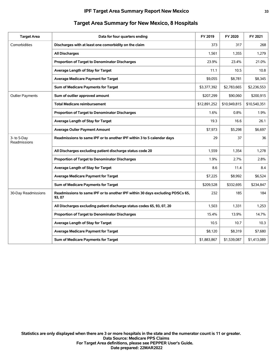| <b>Target Area</b>          | Data for four quarters ending                                                           | FY 2019      | FY 2020      | FY 2021      |
|-----------------------------|-----------------------------------------------------------------------------------------|--------------|--------------|--------------|
| Comorbidities               | Discharges with at least one comorbidity on the claim                                   | 373          | 317          | 268          |
|                             | <b>All Discharges</b>                                                                   | 1,561        | 1,355        | 1,279        |
|                             | <b>Proportion of Target to Denominator Discharges</b>                                   | 23.9%        | 23.4%        | 21.0%        |
|                             | Average Length of Stay for Target                                                       | 11.1         | 10.5         | 10.8         |
|                             | <b>Average Medicare Payment for Target</b>                                              | \$9,055      | \$8,781      | \$8,345      |
|                             | Sum of Medicare Payments for Target                                                     | \$3,377,392  | \$2,783,665  | \$2,236,553  |
| <b>Outlier Payments</b>     | Sum of outlier approved amount                                                          | \$207,299    | \$90,060     | \$200,915    |
|                             | <b>Total Medicare reimbursement</b>                                                     | \$12,891,252 | \$10,949,815 | \$10,540,351 |
|                             | Proportion of Target to Denominator Discharges                                          | 1.6%         | 0.8%         | 1.9%         |
|                             | Average Length of Stay for Target                                                       | 19.3         | 16.6         | 26.1         |
|                             | <b>Average Oulier Payment Amount</b>                                                    | \$7,973      | \$5,298      | \$6,697      |
| 3- to 5-Day<br>Readmissions | Readmissions to same IPF or to another IPF within 3 to 5 calendar days                  | 29           | 37           | 36           |
|                             | All Discharges excluding patient discharge status code 20                               | 1,559        | 1,354        | 1,278        |
|                             | Proportion of Target to Denominator Discharges                                          | 1.9%         | 2.7%         | 2.8%         |
|                             | Average Length of Stay for Target                                                       | 8.6          | 11.4         | 8.4          |
|                             | <b>Average Medicare Payment for Target</b>                                              | \$7,225      | \$8,992      | \$6,524      |
|                             | Sum of Medicare Payments for Target                                                     | \$209,528    | \$332,695    | \$234,847    |
| 30-Day Readmissions         | Readmissions to same IPF or to another IPF within 30 days excluding PDSCs 65,<br>93, 07 | 232          | 185          | 184          |
|                             | All Discharges excluding patient discharge status codes 65, 93, 07, 20                  | 1,503        | 1,331        | 1,253        |
|                             | Proportion of Target to Denominator Discharges                                          | 15.4%        | 13.9%        | 14.7%        |
|                             | Average Length of Stay for Target                                                       | 10.5         | 10.7         | 10.3         |
|                             | <b>Average Medicare Payment for Target</b>                                              | \$8.120      | \$8,319      | \$7,680      |
|                             | Sum of Medicare Payments for Target                                                     | \$1,883,867  | \$1,539,087  | \$1,413,089  |

## **Target Area Summary for New Mexico, 8 Hospitals**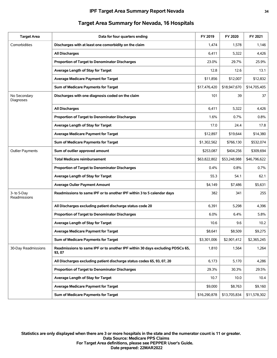#### **IPF Target Area Summary Report Nevada 34**

| <b>Target Area</b>          | Data for four quarters ending                                                           | FY 2019      | FY 2020      | FY 2021      |
|-----------------------------|-----------------------------------------------------------------------------------------|--------------|--------------|--------------|
| Comorbidities               | Discharges with at least one comorbidity on the claim                                   | 1,474        | 1,578        | 1,146        |
|                             | <b>All Discharges</b>                                                                   | 6,411        | 5,322        | 4,426        |
|                             | Proportion of Target to Denominator Discharges                                          | 23.0%        | 29.7%        | 25.9%        |
|                             | Average Length of Stay for Target                                                       | 12.8         | 12.6         | 13.1         |
|                             | <b>Average Medicare Payment for Target</b>                                              | \$11,856     | \$12,007     | \$12,832     |
|                             | Sum of Medicare Payments for Target                                                     | \$17,476,420 | \$18,947,670 | \$14,705,405 |
| No Secondary<br>Diagnoses   | Discharges with one diagnosis coded on the claim                                        | 101          | 39           | 37           |
|                             | <b>All Discharges</b>                                                                   | 6,411        | 5,322        | 4,426        |
|                             | Proportion of Target to Denominator Discharges                                          | 1.6%         | 0.7%         | 0.8%         |
|                             | Average Length of Stay for Target                                                       | 17.0         | 24.4         | 17.8         |
|                             | <b>Average Medicare Payment for Target</b>                                              | \$12,897     | \$19,644     | \$14,380     |
|                             | Sum of Medicare Payments for Target                                                     | \$1,302,562  | \$766,130    | \$532,074    |
| <b>Outlier Payments</b>     | Sum of outlier approved amount                                                          | \$253,087    | \$404,256    | \$309,694    |
|                             | <b>Total Medicare reimbursement</b>                                                     | \$63,822,802 | \$53,248,988 | \$46,796,622 |
|                             | Proportion of Target to Denominator Discharges                                          | $0.4\%$      | 0.8%         | 0.7%         |
|                             | Average Length of Stay for Target                                                       | 55.3         | 54.1         | 62.1         |
|                             | <b>Average Oulier Payment Amount</b>                                                    | \$4,149      | \$7,486      | \$5,631      |
| 3- to 5-Day<br>Readmissions | Readmissions to same IPF or to another IPF within 3 to 5 calendar days                  | 382          | 341          | 255          |
|                             | All Discharges excluding patient discharge status code 20                               | 6,391        | 5,298        | 4,396        |
|                             | Proportion of Target to Denominator Discharges                                          | 6.0%         | 6.4%         | 5.8%         |
|                             | Average Length of Stay for Target                                                       | 10.6         | 9.6          | 10.2         |
|                             | Average Medicare Payment for Target                                                     | \$8,641      | \$8,509      | \$9,275      |
|                             | Sum of Medicare Payments for Target                                                     | \$3,301,006  | \$2,901,412  | \$2,365,245  |
| 30-Day Readmissions         | Readmissions to same IPF or to another IPF within 30 days excluding PDSCs 65,<br>93, 07 | 1,810        | 1,564        | 1,264        |
|                             | All Discharges excluding patient discharge status codes 65, 93, 07, 20                  | 6,173        | 5,170        | 4,286        |
|                             | Proportion of Target to Denominator Discharges                                          | 29.3%        | 30.3%        | 29.5%        |
|                             | Average Length of Stay for Target                                                       | 10.7         | 10.0         | 10.4         |
|                             | <b>Average Medicare Payment for Target</b>                                              | \$9,000      | \$8,763      | \$9,160      |
|                             | Sum of Medicare Payments for Target                                                     | \$16,290,878 | \$13,705,834 | \$11,578,302 |

# **Target Area Summary for Nevada, 16 Hospitals**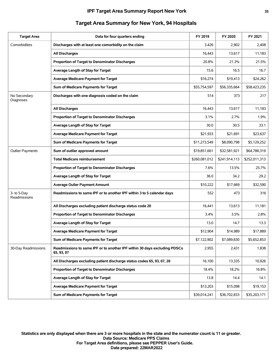| <b>Target Area</b>          | Data for four quarters ending                                                           | FY 2019       | FY 2020       | FY 2021       |
|-----------------------------|-----------------------------------------------------------------------------------------|---------------|---------------|---------------|
| Comorbidities               | Discharges with at least one comorbidity on the claim                                   | 3,426         | 2,902         | 2,408         |
|                             | <b>All Discharges</b>                                                                   | 16,443        | 13,617        | 11,183        |
|                             | Proportion of Target to Denominator Discharges                                          | 20.8%         | 21.3%         | 21.5%         |
|                             | Average Length of Stay for Target                                                       | 15.6          | 16.5          | 16.7          |
|                             | <b>Average Medicare Payment for Target</b>                                              | \$16,274      | \$19,413      | \$24,262      |
|                             | Sum of Medicare Payments for Target                                                     | \$55,754,597  | \$56,335,664  | \$58,423,235  |
| No Secondary<br>Diagnoses   | Discharges with one diagnosis coded on the claim                                        | 514           | 373           | 217           |
|                             | <b>All Discharges</b>                                                                   | 16,443        | 13,617        | 11,183        |
|                             | Proportion of Target to Denominator Discharges                                          | 3.1%          | 2.7%          | 1.9%          |
|                             | Average Length of Stay for Target                                                       | 30.0          | 30.5          | 33.1          |
|                             | <b>Average Medicare Payment for Target</b>                                              | \$21,933      | \$21,691      | \$23,637      |
|                             | Sum of Medicare Payments for Target                                                     | \$11,273,549  | \$8,090,798   | \$5,129,252   |
| <b>Outlier Payments</b>     | Sum of outlier approved amount                                                          | \$19,851,661  | \$32,581,921  | \$64,788,319  |
|                             | <b>Total Medicare reimbursement</b>                                                     | \$260,081,012 | \$241,914,113 | \$252,011,313 |
|                             | <b>Proportion of Target to Denominator Discharges</b>                                   | 7.6%          | 13.5%         | 25.7%         |
|                             | Average Length of Stay for Target                                                       | 36.0          | 34.2          | 29.2          |
|                             | <b>Average Oulier Payment Amount</b>                                                    | \$10,222      | \$17,669      | \$32,590      |
| 3- to 5-Day<br>Readmissions | Readmissions to same IPF or to another IPF within 3 to 5 calendar days                  | 552           | 473           | 316           |
|                             | All Discharges excluding patient discharge status code 20                               | 16,441        | 13,613        | 11,181        |
|                             | Proportion of Target to Denominator Discharges                                          | $3.4\%$       | 3.5%          | 2.8%          |
|                             | Average Length of Stay for Target                                                       | 13.0          | 14.7          | 13.3          |
|                             | <b>Average Medicare Payment for Target</b>                                              | \$12,904      | \$14,989      | \$17,889      |
|                             | Sum of Medicare Payments for Target                                                     | \$7,122,902   | \$7,089,830   | \$5,652,853   |
| 30-Day Readmissions         | Readmissions to same IPF or to another IPF within 30 days excluding PDSCs<br>65, 93, 07 | 2,955         | 2,431         | 1,838         |
|                             | All Discharges excluding patient discharge status codes 65, 93, 07, 20                  | 16,100        | 13,335        | 10,926        |
|                             | Proportion of Target to Denominator Discharges                                          | 18.4%         | 18.2%         | 16.8%         |
|                             | Average Length of Stay for Target                                                       | 13.8          | 14.4          | 14.1          |
|                             | <b>Average Medicare Payment for Target</b>                                              | \$13,203      | \$15,098      | \$19,153      |
|                             | Sum of Medicare Payments for Target                                                     | \$39,014,241  | \$36,702,833  | \$35,203,171  |
|                             |                                                                                         |               |               |               |

# **Target Area Summary for New York, 94 Hospitals**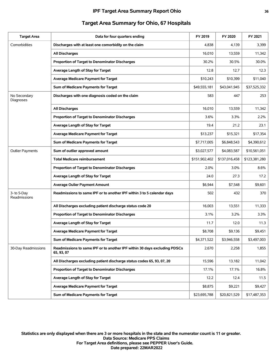| <b>Target Area</b>          | Data for four quarters ending                                                           | FY 2019       | FY 2020       | FY 2021       |
|-----------------------------|-----------------------------------------------------------------------------------------|---------------|---------------|---------------|
| Comorbidities               | Discharges with at least one comorbidity on the claim                                   | 4,838         | 4,139         | 3,399         |
|                             | <b>All Discharges</b>                                                                   | 16,010        | 13,559        | 11,342        |
|                             | Proportion of Target to Denominator Discharges                                          | 30.2%         | 30.5%         | 30.0%         |
|                             | Average Length of Stay for Target                                                       | 12.8          | 12.7          | 12.3          |
|                             | <b>Average Medicare Payment for Target</b>                                              | \$10,243      | \$10,399      | \$11,040      |
|                             | Sum of Medicare Payments for Target                                                     | \$49,555,181  | \$43,041,945  | \$37,525,332  |
| No Secondary<br>Diagnoses   | Discharges with one diagnosis coded on the claim                                        | 583           | 447           | 253           |
|                             | <b>All Discharges</b>                                                                   | 16,010        | 13,559        | 11,342        |
|                             | Proportion of Target to Denominator Discharges                                          | 3.6%          | 3.3%          | 2.2%          |
|                             | Average Length of Stay for Target                                                       | 19.4          | 21.2          | 23.1          |
|                             | Average Medicare Payment for Target                                                     | \$13,237      | \$15,321      | \$17,354      |
|                             | Sum of Medicare Payments for Target                                                     | \$7,717,005   | \$6,848,543   | \$4,390,612   |
| <b>Outlier Payments</b>     | Sum of outlier approved amount                                                          | \$3,027,577   | \$4,083,587   | \$10,561,051  |
|                             | <b>Total Medicare reimbursement</b>                                                     | \$151,902,402 | \$137,016,458 | \$123,381,280 |
|                             | Proportion of Target to Denominator Discharges                                          | 2.0%          | 3.0%          | 8.6%          |
|                             | Average Length of Stay for Target                                                       | 24.0          | 27.3          | 17.2          |
|                             | <b>Average Oulier Payment Amount</b>                                                    | \$6,944       | \$7,548       | \$9,601       |
| 3- to 5-Day<br>Readmissions | Readmissions to same IPF or to another IPF within 3 to 5 calendar days                  | 502           | 432           | 370           |
|                             | All Discharges excluding patient discharge status code 20                               | 16,003        | 13,551        | 11,333        |
|                             | Proportion of Target to Denominator Discharges                                          | 3.1%          | 3.2%          | 3.3%          |
|                             | Average Length of Stay for Target                                                       | 11.7          | 12.0          | 11.3          |
|                             | <b>Average Medicare Payment for Target</b>                                              | \$8,708       | \$9,136       | \$9,451       |
|                             | Sum of Medicare Payments for Target                                                     | \$4,371,522   | \$3,946,558   | \$3,497,003   |
| 30-Day Readmissions         | Readmissions to same IPF or to another IPF within 30 days excluding PDSCs<br>65, 93, 07 | 2,670         | 2,258         | 1,855         |
|                             | All Discharges excluding patient discharge status codes 65, 93, 07, 20                  | 15,596        | 13,182        | 11,042        |
|                             | Proportion of Target to Denominator Discharges                                          | 17.1%         | 17.1%         | 16.8%         |
|                             | Average Length of Stay for Target                                                       | 12.2          | 12.4          | 11.5          |
|                             | <b>Average Medicare Payment for Target</b>                                              | \$8,875       | \$9,221       | \$9,427       |
|                             | Sum of Medicare Payments for Target                                                     | \$23,695,788  | \$20,821,529  | \$17,487,353  |
|                             |                                                                                         |               |               |               |

# **Target Area Summary for Ohio, 67 Hospitals**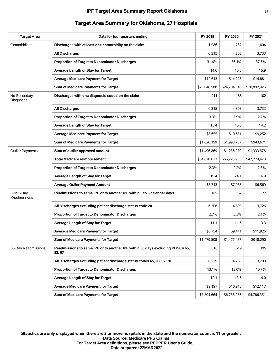#### **IPF Target Area Summary Report Oklahoma 37**

| <b>Target Area</b>          | Data for four quarters ending                                                           | FY 2019      | FY 2020      | FY 2021      |
|-----------------------------|-----------------------------------------------------------------------------------------|--------------|--------------|--------------|
| Comorbidities               | Discharges with at least one comorbidity on the claim                                   | 1,986        | 1,737        | 1,404        |
|                             | <b>All Discharges</b>                                                                   | 6,315        | 4,808        | 3,733        |
|                             | Proportion of Target to Denominator Discharges                                          | 31.4%        | 36.1%        | 37.6%        |
|                             | Average Length of Stay for Target                                                       | 14.6         | 16.5         | 15.9         |
|                             | <b>Average Medicare Payment for Target</b>                                              | \$12,613     | \$14,223     | \$14,881     |
|                             | Sum of Medicare Payments for Target                                                     | \$25.048.588 | \$24,704,516 | \$20,892,926 |
| No Secondary<br>Diagnoses   | Discharges with one diagnosis coded on the claim                                        | 211          | 188          | 102          |
|                             | <b>All Discharges</b>                                                                   | 6,315        | 4,808        | 3,733        |
|                             | Proportion of Target to Denominator Discharges                                          | $3.3\%$      | 3.9%         | 2.7%         |
|                             | Average Length of Stay for Target                                                       | 13.4         | 16.6         | 14.2         |
|                             | <b>Average Medicare Payment for Target</b>                                              | \$8,655      | \$10,631     | \$9,252      |
|                             | Sum of Medicare Payments for Target                                                     | \$1,826,159  | \$1,998,707  | \$943,671    |
| <b>Outlier Payments</b>     | Sum of outlier approved amount                                                          | \$1,496,869  | \$1,236,079  | \$1,333,576  |
|                             | <b>Total Medicare reimbursement</b>                                                     | \$64,070,623 | \$56,723,933 | \$47,779,470 |
|                             | <b>Proportion of Target to Denominator Discharges</b>                                   | 2.3%         | 2.2%         | 2.8%         |
|                             | Average Length of Stay for Target                                                       | 19.4         | 24.1         | 16.9         |
|                             | <b>Average Oulier Payment Amount</b>                                                    | \$5,713      | \$7,063      | \$6,569      |
| 3- to 5-Day<br>Readmissions | Readmissions to same IPF or to another IPF within 3 to 5 calendar days                  | 169          | 157          | 77           |
|                             | All Discharges excluding patient discharge status code 20                               | 6,306        | 4,800        | 3,726        |
|                             | Proportion of Target to Denominator Discharges                                          | 2.7%         | 3.3%         | 2.1%         |
|                             | Average Length of Stay for Target                                                       | 11.1         | 11.6         | 13.3         |
|                             | <b>Average Medicare Payment for Target</b>                                              | \$8,754      | \$9,411      | \$11,926     |
|                             | Sum of Medicare Payments for Target                                                     | \$1,479,508  | \$1,477,457  | \$918,290    |
| 30-Day Readmissions         | Readmissions to same IPF or to another IPF within 30 days excluding PDSCs 65,<br>93, 07 | 816          | 619          | 395          |
|                             | All Discharges excluding patient discharge status codes 65, 93, 07, 20                  | 6,229        | 4,768        | 3,703        |
|                             | Proportion of Target to Denominator Discharges                                          | 13.1%        | 13.0%        | 10.7%        |
|                             | Average Length of Stay for Target                                                       | 12.1         | 13.6         | 14.0         |
|                             | <b>Average Medicare Payment for Target</b>                                              | \$9,197      | \$10,916     | \$12,117     |
|                             | Sum of Medicare Payments for Target                                                     | \$7,504,664  | \$6,756,983  | \$4,786,351  |

## **Target Area Summary for Oklahoma, 27 Hospitals**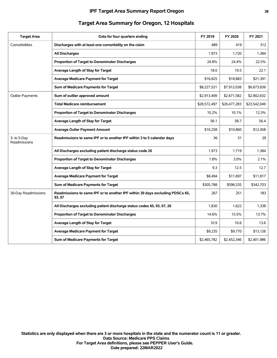| <b>Target Area</b>          | Data for four quarters ending                                                           | FY 2019      | FY 2020      | FY 2021      |
|-----------------------------|-----------------------------------------------------------------------------------------|--------------|--------------|--------------|
| Comorbidities               | Discharges with at least one comorbidity on the claim                                   | 489          | 419          | 312          |
|                             | <b>All Discharges</b>                                                                   | 1,973        | 1,720        | 1,384        |
|                             | Proportion of Target to Denominator Discharges                                          | 24.8%        | 24.4%        | 22.5%        |
|                             | Average Length of Stay for Target                                                       | 18.0         | 19.5         | 22.1         |
|                             | <b>Average Medicare Payment for Target</b>                                              | \$16,825     | \$18,883     | \$21,391     |
|                             | Sum of Medicare Payments for Target                                                     | \$8,227,521  | \$7,912,038  | \$6,673,839  |
| <b>Outlier Payments</b>     | Sum of outlier approved amount                                                          | \$2,913,409  | \$2,671,582  | \$2,902,632  |
|                             | <b>Total Medicare reimbursement</b>                                                     | \$28,572,497 | \$26,477,283 | \$23,542,049 |
|                             | Proportion of Target to Denominator Discharges                                          | 10.2%        | 10.1%        | 12.3%        |
|                             | Average Length of Stay for Target                                                       | 56.1         | 58.7         | 56.4         |
|                             | <b>Average Oulier Payment Amount</b>                                                    | \$10,258     | \$10,860     | \$12,458     |
| 3- to 5-Day<br>Readmissions | Readmissions to same IPF or to another IPF within 3 to 5 calendar days                  | 36           | 51           | 29           |
|                             | All Discharges excluding patient discharge status code 20                               | 1,973        | 1,719        | 1,384        |
|                             | Proportion of Target to Denominator Discharges                                          | 1.8%         | 3.0%         | 2.1%         |
|                             | Average Length of Stay for Target                                                       | 9.3          | 12.5         | 12.7         |
|                             | <b>Average Medicare Payment for Target</b>                                              | \$8,494      | \$11,697     | \$11,817     |
|                             | Sum of Medicare Payments for Target                                                     | \$305,788    | \$596,535    | \$342,703    |
| 30-Day Readmissions         | Readmissions to same IPF or to another IPF within 30 days excluding PDSCs 65,<br>93, 07 | 267          | 251          | 183          |
|                             | All Discharges excluding patient discharge status codes 65, 93, 07, 20                  | 1,830        | 1,622        | 1,338        |
|                             | Proportion of Target to Denominator Discharges                                          | 14.6%        | 15.5%        | 13.7%        |
|                             | Average Length of Stay for Target                                                       | 10.9         | 10.6         | 13.6         |
|                             | <b>Average Medicare Payment for Target</b>                                              | \$9,235      | \$9,770      | \$13,126     |
|                             | Sum of Medicare Payments for Target                                                     | \$2,465,782  | \$2,452,346  | \$2,401,986  |
|                             |                                                                                         |              |              |              |

# **Target Area Summary for Oregon, 12 Hospitals**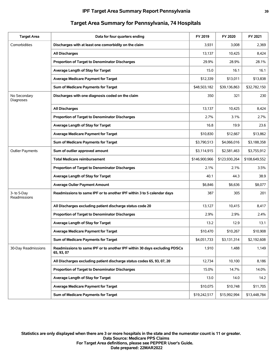| <b>Target Area</b>          | Data for four quarters ending                                                           | FY 2019       | FY 2020       | FY 2021       |
|-----------------------------|-----------------------------------------------------------------------------------------|---------------|---------------|---------------|
| Comorbidities               | Discharges with at least one comorbidity on the claim                                   | 3,931         | 3,008         | 2,369         |
|                             | <b>All Discharges</b>                                                                   | 13,137        | 10,425        | 8,424         |
|                             | Proportion of Target to Denominator Discharges                                          | 29.9%         | 28.9%         | 28.1%         |
|                             | Average Length of Stay for Target                                                       | 15.0          | 16.1          | 16.1          |
|                             | <b>Average Medicare Payment for Target</b>                                              | \$12,339      | \$13,011      | \$13,838      |
|                             | Sum of Medicare Payments for Target                                                     | \$48,503,182  | \$39,136,863  | \$32,782,150  |
| No Secondary<br>Diagnoses   | Discharges with one diagnosis coded on the claim                                        | 350           | 321           | 230           |
|                             | <b>All Discharges</b>                                                                   | 13,137        | 10,425        | 8,424         |
|                             | Proportion of Target to Denominator Discharges                                          | 2.7%          | 3.1%          | 2.7%          |
|                             | Average Length of Stay for Target                                                       | 16.8          | 19.9          | 23.6          |
|                             | <b>Average Medicare Payment for Target</b>                                              | \$10,830      | \$12,667      | \$13,862      |
|                             | Sum of Medicare Payments for Target                                                     | \$3,790,513   | \$4,066,016   | \$3,188,358   |
| <b>Outlier Payments</b>     | Sum of outlier approved amount                                                          | \$3,114,915   | \$2,581,463   | \$3,755,912   |
|                             | <b>Total Medicare reimbursement</b>                                                     | \$146,900,966 | \$123,930,264 | \$108,649,552 |
|                             | Proportion of Target to Denominator Discharges                                          | 2.1%          | 2.1%          | 3.5%          |
|                             | Average Length of Stay for Target                                                       | 40.1          | 44.3          | 38.9          |
|                             | <b>Average Oulier Payment Amount</b>                                                    | \$6,846       | \$6,636       | \$8,077       |
| 3- to 5-Day<br>Readmissions | Readmissions to same IPF or to another IPF within 3 to 5 calendar days                  | 387           | 305           | 201           |
|                             | All Discharges excluding patient discharge status code 20                               | 13,127        | 10,415        | 8,417         |
|                             | Proportion of Target to Denominator Discharges                                          | 2.9%          | 2.9%          | 2.4%          |
|                             | Average Length of Stay for Target                                                       | 13.2          | 12.9          | 13.1          |
|                             | <b>Average Medicare Payment for Target</b>                                              | \$10,470      | \$10,267      | \$10,908      |
|                             | Sum of Medicare Payments for Target                                                     | \$4,051,733   | \$3,131,314   | \$2,192,608   |
| 30-Day Readmissions         | Readmissions to same IPF or to another IPF within 30 days excluding PDSCs<br>65, 93, 07 | 1,910         | 1,488         | 1,149         |
|                             | All Discharges excluding patient discharge status codes 65, 93, 07, 20                  | 12,734        | 10,100        | 8,186         |
|                             | Proportion of Target to Denominator Discharges                                          | 15.0%         | 14.7%         | 14.0%         |
|                             | Average Length of Stay for Target                                                       | 13.0          | 14.0          | 14.2          |
|                             | <b>Average Medicare Payment for Target</b>                                              | \$10,075      | \$10,748      | \$11,705      |
|                             | Sum of Medicare Payments for Target                                                     | \$19,242,517  | \$15,992,994  | \$13,448,784  |

# **Target Area Summary for Pennsylvania, 74 Hospitals**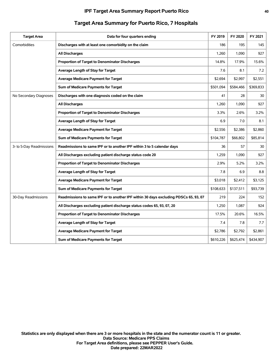| <b>Target Area</b>       | Data for four quarters ending                                                        | FY 2019   | FY 2020   | FY 2021   |
|--------------------------|--------------------------------------------------------------------------------------|-----------|-----------|-----------|
| Comorbidities            | Discharges with at least one comorbidity on the claim                                | 186       | 195       | 145       |
|                          | <b>All Discharges</b>                                                                | 1,260     | 1,090     | 927       |
|                          | Proportion of Target to Denominator Discharges                                       | 14.8%     | 17.9%     | 15.6%     |
|                          | Average Length of Stay for Target                                                    | 7.6       | 8.1       | 7.2       |
|                          | <b>Average Medicare Payment for Target</b>                                           | \$2,694   | \$2,997   | \$2,551   |
|                          | Sum of Medicare Payments for Target                                                  | \$501,094 | \$584,466 | \$369,833 |
| No Secondary Diagnoses   | Discharges with one diagnosis coded on the claim                                     | 41        | 28        | 30        |
|                          | <b>All Discharges</b>                                                                | 1,260     | 1,090     | 927       |
|                          | <b>Proportion of Target to Denominator Discharges</b>                                | 3.3%      | 2.6%      | 3.2%      |
|                          | Average Length of Stay for Target                                                    | 6.9       | 7.0       | 8.1       |
|                          | <b>Average Medicare Payment for Target</b>                                           | \$2,556   | \$2,386   | \$2,860   |
|                          | Sum of Medicare Payments for Target                                                  | \$104,787 | \$66,802  | \$85,814  |
| 3- to 5-Day Readmissions | Readmissions to same IPF or to another IPF within 3 to 5 calendar days               | 36        | 57        | 30        |
|                          | All Discharges excluding patient discharge status code 20                            | 1,259     | 1,090     | 927       |
|                          | Proportion of Target to Denominator Discharges                                       | 2.9%      | 5.2%      | 3.2%      |
|                          | Average Length of Stay for Target                                                    | 7.8       | 6.9       | 8.8       |
|                          | <b>Average Medicare Payment for Target</b>                                           | \$3,018   | \$2,412   | \$3,125   |
|                          | Sum of Medicare Payments for Target                                                  | \$108,633 | \$137,511 | \$93,739  |
| 30-Day Readmissions      | Readmissions to same IPF or to another IPF within 30 days excluding PDSCs 65, 93, 07 | 219       | 224       | 152       |
|                          | All Discharges excluding patient discharge status codes 65, 93, 07, 20               | 1,250     | 1,087     | 924       |
|                          | Proportion of Target to Denominator Discharges                                       | 17.5%     | 20.6%     | 16.5%     |
|                          | Average Length of Stay for Target                                                    | 7.4       | 7.8       | 7.7       |
|                          | <b>Average Medicare Payment for Target</b>                                           | \$2,786   | \$2,792   | \$2,861   |
|                          | Sum of Medicare Payments for Target                                                  | \$610,226 | \$625,474 | \$434,907 |
|                          |                                                                                      |           |           |           |

## **Target Area Summary for Puerto Rico, 7 Hospitals**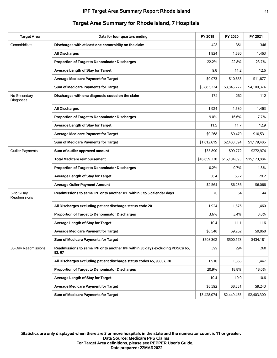| <b>Target Area</b>          | Data for four quarters ending                                                           | FY 2019      | FY 2020      | FY 2021      |
|-----------------------------|-----------------------------------------------------------------------------------------|--------------|--------------|--------------|
| Comorbidities               | Discharges with at least one comorbidity on the claim                                   | 428          | 361          | 346          |
|                             | <b>All Discharges</b>                                                                   | 1,924        | 1,580        | 1,463        |
|                             | Proportion of Target to Denominator Discharges                                          | 22.2%        | 22.8%        | 23.7%        |
|                             | Average Length of Stay for Target                                                       | 9.8          | 11.2         | 12.6         |
|                             | <b>Average Medicare Payment for Target</b>                                              | \$9,073      | \$10,653     | \$11,877     |
|                             | Sum of Medicare Payments for Target                                                     | \$3,883,224  | \$3,845,722  | \$4,109,374  |
| No Secondary<br>Diagnoses   | Discharges with one diagnosis coded on the claim                                        | 174          | 262          | 112          |
|                             | <b>All Discharges</b>                                                                   | 1,924        | 1,580        | 1,463        |
|                             | Proportion of Target to Denominator Discharges                                          | 9.0%         | 16.6%        | 7.7%         |
|                             | Average Length of Stay for Target                                                       | 11.5         | 11.7         | 12.9         |
|                             | <b>Average Medicare Payment for Target</b>                                              | \$9,268      | \$9,479      | \$10,531     |
|                             | Sum of Medicare Payments for Target                                                     | \$1,612,615  | \$2,483,594  | \$1,179,486  |
| <b>Outlier Payments</b>     | Sum of outlier approved amount                                                          | \$35,890     | \$99,772     | \$272,974    |
|                             | <b>Total Medicare reimbursement</b>                                                     | \$16,659,220 | \$15,104,093 | \$15,173,884 |
|                             | Proportion of Target to Denominator Discharges                                          | 0.2%         | $0.7\%$      | 1.8%         |
|                             | Average Length of Stay for Target                                                       | 56.4         | 65.2         | 29.2         |
|                             | <b>Average Oulier Payment Amount</b>                                                    | \$2,564      | \$6,236      | \$6,066      |
| 3- to 5-Day<br>Readmissions | Readmissions to same IPF or to another IPF within 3 to 5 calendar days                  | 70           | 54           | 44           |
|                             | All Discharges excluding patient discharge status code 20                               | 1,924        | 1,576        | 1,460        |
|                             | Proportion of Target to Denominator Discharges                                          | 3.6%         | 3.4%         | 3.0%         |
|                             | Average Length of Stay for Target                                                       | 10.4         | 11.1         | 11.6         |
|                             | <b>Average Medicare Payment for Target</b>                                              | \$8,548      | \$9,262      | \$9.868      |
|                             | Sum of Medicare Payments for Target                                                     | \$598,362    | \$500,173    | \$434,181    |
| 30-Day Readmissions         | Readmissions to same IPF or to another IPF within 30 days excluding PDSCs 65,<br>93, 07 | 399          | 294          | 260          |
|                             | All Discharges excluding patient discharge status codes 65, 93, 07, 20                  | 1,910        | 1,565        | 1,447        |
|                             | Proportion of Target to Denominator Discharges                                          | 20.9%        | 18.8%        | 18.0%        |
|                             | Average Length of Stay for Target                                                       | 10.4         | 10.0         | 10.6         |
|                             | <b>Average Medicare Payment for Target</b>                                              | \$8,592      | \$8,331      | \$9,243      |
|                             | Sum of Medicare Payments for Target                                                     | \$3,428,074  | \$2,449,455  | \$2,403,300  |

# **Target Area Summary for Rhode Island, 7 Hospitals**

**Date prepared: 22MAR2022 For Target Area definitions, please see PEPPER User's Guide. Data Source: Medicare PPS Claims Statistics are only displayed when there are 3 or more hospitals in the state and the numerator count is 11 or greater.**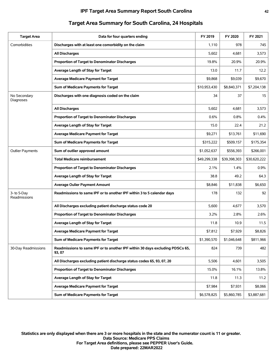| <b>Target Area</b>          | Data for four quarters ending                                                           | FY 2019      | FY 2020      | FY 2021      |
|-----------------------------|-----------------------------------------------------------------------------------------|--------------|--------------|--------------|
| Comorbidities               | Discharges with at least one comorbidity on the claim                                   | 1,110        | 978          | 745          |
|                             | <b>All Discharges</b>                                                                   | 5,602        | 4,681        | 3,573        |
|                             | Proportion of Target to Denominator Discharges                                          | 19.8%        | 20.9%        | 20.9%        |
|                             | Average Length of Stay for Target                                                       | 13.0         | 11.7         | 12.2         |
|                             | <b>Average Medicare Payment for Target</b>                                              | \$9,868      | \$9,039      | \$9,670      |
|                             | Sum of Medicare Payments for Target                                                     | \$10,953,430 | \$8,840,371  | \$7,204,138  |
| No Secondary<br>Diagnoses   | Discharges with one diagnosis coded on the claim                                        | 34           | 37           | 15           |
|                             | <b>All Discharges</b>                                                                   | 5,602        | 4,681        | 3,573        |
|                             | Proportion of Target to Denominator Discharges                                          | 0.6%         | 0.8%         | $0.4\%$      |
|                             | Average Length of Stay for Target                                                       | 15.0         | 22.4         | 21.2         |
|                             | <b>Average Medicare Payment for Target</b>                                              | \$9,271      | \$13,761     | \$11,690     |
|                             | Sum of Medicare Payments for Target                                                     | \$315,222    | \$509,157    | \$175,354    |
| <b>Outlier Payments</b>     | Sum of outlier approved amount                                                          | \$1,052,637  | \$556,393    | \$266,001    |
|                             | <b>Total Medicare reimbursement</b>                                                     | \$49,299,338 | \$39,398,303 | \$30,620,222 |
|                             | Proportion of Target to Denominator Discharges                                          | 2.1%         | 1.4%         | 0.9%         |
|                             | Average Length of Stay for Target                                                       | 38.8         | 49.2         | 64.3         |
|                             | <b>Average Oulier Payment Amount</b>                                                    | \$8,846      | \$11,838     | \$6,650      |
| 3- to 5-Day<br>Readmissions | Readmissions to same IPF or to another IPF within 3 to 5 calendar days                  | 178          | 132          | 92           |
|                             | All Discharges excluding patient discharge status code 20                               | 5,600        | 4,677        | 3,570        |
|                             | Proportion of Target to Denominator Discharges                                          | 3.2%         | 2.8%         | 2.6%         |
|                             | Average Length of Stay for Target                                                       | 11.8         | 10.9         | 11.5         |
|                             | <b>Average Medicare Payment for Target</b>                                              | \$7,812      | \$7,929      | \$8,826      |
|                             | Sum of Medicare Payments for Target                                                     | \$1,390,570  | \$1,046,648  | \$811,966    |
| 30-Day Readmissions         | Readmissions to same IPF or to another IPF within 30 days excluding PDSCs 65,<br>93, 07 | 824          | 739          | 482          |
|                             | All Discharges excluding patient discharge status codes 65, 93, 07, 20                  | 5,506        | 4,601        | 3,505        |
|                             | Proportion of Target to Denominator Discharges                                          | 15.0%        | 16.1%        | 13.8%        |
|                             | Average Length of Stay for Target                                                       | 11.8         | 11.3         | 11.2         |
|                             | <b>Average Medicare Payment for Target</b>                                              | \$7,984      | \$7,931      | \$8,066      |
|                             | Sum of Medicare Payments for Target                                                     | \$6,578,825  | \$5,860,785  | \$3,887,681  |

# **Target Area Summary for South Carolina, 24 Hospitals**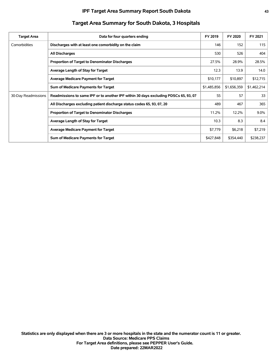| <b>Target Area</b>  | Data for four quarters ending                                                        | FY 2019     | FY 2020     | FY 2021     |
|---------------------|--------------------------------------------------------------------------------------|-------------|-------------|-------------|
| Comorbidities       | Discharges with at least one comorbidity on the claim                                | 146         | 152         | 115         |
|                     | <b>All Discharges</b>                                                                | 530         | 526         | 404         |
|                     | <b>Proportion of Target to Denominator Discharges</b>                                | 27.5%       | 28.9%       | 28.5%       |
|                     | Average Length of Stay for Target                                                    | 12.3        | 13.9        | 14.0        |
|                     | <b>Average Medicare Payment for Target</b>                                           | \$10,177    | \$10.897    | \$12,715    |
|                     | Sum of Medicare Payments for Target                                                  | \$1,485,856 | \$1,656,359 | \$1,462,214 |
| 30-Day Readmissions | Readmissions to same IPF or to another IPF within 30 days excluding PDSCs 65, 93, 07 | 55          | 57          | 33          |
|                     | All Discharges excluding patient discharge status codes 65, 93, 07, 20               | 489         | 467         | 365         |
|                     | Proportion of Target to Denominator Discharges                                       | 11.2%       | 12.2%       | $9.0\%$     |
|                     | Average Length of Stay for Target                                                    | 10.3        | 8.3         | 8.4         |
|                     | <b>Average Medicare Payment for Target</b>                                           | \$7,779     | \$6,218     | \$7,219     |
|                     | Sum of Medicare Payments for Target                                                  | \$427,848   | \$354,440   | \$238,237   |

# **Target Area Summary for South Dakota, 3 Hospitals**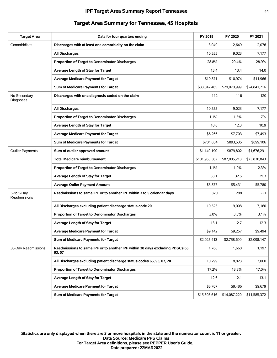#### **IPF Target Area Summary Report Tennessee 44**

| <b>Target Area</b>          | Data for four quarters ending                                                           | FY 2019       | FY 2020      | FY 2021      |
|-----------------------------|-----------------------------------------------------------------------------------------|---------------|--------------|--------------|
| Comorbidities               | Discharges with at least one comorbidity on the claim                                   | 3,040         | 2,649        | 2,076        |
|                             | <b>All Discharges</b>                                                                   | 10,555        | 9,023        | 7,177        |
|                             | Proportion of Target to Denominator Discharges                                          | 28.8%         | 29.4%        | 28.9%        |
|                             | Average Length of Stay for Target                                                       | 13.4          | 13.4         | 14.0         |
|                             | <b>Average Medicare Payment for Target</b>                                              | \$10,871      | \$10,974     | \$11,966     |
|                             | Sum of Medicare Payments for Target                                                     | \$33,047,465  | \$29,070,999 | \$24,841,716 |
| No Secondary<br>Diagnoses   | Discharges with one diagnosis coded on the claim                                        | 112           | 116          | 120          |
|                             | <b>All Discharges</b>                                                                   | 10,555        | 9,023        | 7,177        |
|                             | <b>Proportion of Target to Denominator Discharges</b>                                   | 1.1%          | 1.3%         | 1.7%         |
|                             | Average Length of Stay for Target                                                       | 10.8          | 12.3         | 10.9         |
|                             | Average Medicare Payment for Target                                                     | \$6,266       | \$7,703      | \$7,493      |
|                             | Sum of Medicare Payments for Target                                                     | \$701,834     | \$893.535    | \$899,106    |
| <b>Outlier Payments</b>     | Sum of outlier approved amount                                                          | \$1,140,190   | \$879,802    | \$1,676,291  |
|                             | <b>Total Medicare reimbursement</b>                                                     | \$101,965,362 | \$87,005,218 | \$73,830,843 |
|                             | Proportion of Target to Denominator Discharges                                          | 1.1%          | 1.0%         | 2.3%         |
|                             | Average Length of Stay for Target                                                       | 33.1          | 32.5         | 29.3         |
|                             | <b>Average Oulier Payment Amount</b>                                                    | \$5,877       | \$5,431      | \$5,780      |
| 3- to 5-Day<br>Readmissions | Readmissions to same IPF or to another IPF within 3 to 5 calendar days                  | 320           | 298          | 221          |
|                             | All Discharges excluding patient discharge status code 20                               | 10,523        | 9,008        | 7,160        |
|                             | Proportion of Target to Denominator Discharges                                          | 3.0%          | 3.3%         | 3.1%         |
|                             | Average Length of Stay for Target                                                       | 13.1          | 12.7         | 12.3         |
|                             | Average Medicare Payment for Target                                                     | \$9,142       | \$9,257      | \$9,494      |
|                             | Sum of Medicare Payments for Target                                                     | \$2,925,413   | \$2,758,699  | \$2,098,147  |
| 30-Day Readmissions         | Readmissions to same IPF or to another IPF within 30 days excluding PDSCs 65,<br>93, 07 | 1,768         | 1,660        | 1,197        |
|                             | All Discharges excluding patient discharge status codes 65, 93, 07, 20                  | 10,299        | 8,823        | 7,060        |
|                             | Proportion of Target to Denominator Discharges                                          | 17.2%         | 18.8%        | 17.0%        |
|                             | Average Length of Stay for Target                                                       | 12.6          | 12.1         | 13.1         |
|                             | <b>Average Medicare Payment for Target</b>                                              | \$8,707       | \$8,486      | \$9,679      |
|                             | Sum of Medicare Payments for Target                                                     | \$15,393,616  | \$14,087,220 | \$11,585,372 |

## **Target Area Summary for Tennessee, 45 Hospitals**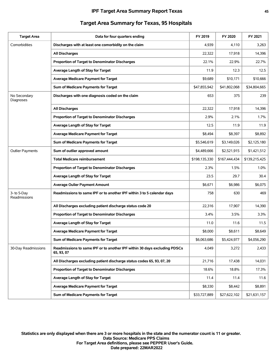| <b>Target Area</b>          | Data for four quarters ending                                                           | FY 2019       | FY 2020       | FY 2021       |
|-----------------------------|-----------------------------------------------------------------------------------------|---------------|---------------|---------------|
| Comorbidities               | Discharges with at least one comorbidity on the claim                                   | 4,939         | 4,110         | 3,263         |
|                             | <b>All Discharges</b>                                                                   | 22,322        | 17,918        | 14,396        |
|                             | Proportion of Target to Denominator Discharges                                          | 22.1%         | 22.9%         | 22.7%         |
|                             | Average Length of Stay for Target                                                       | 11.9          | 12.3          | 12.5          |
|                             | <b>Average Medicare Payment for Target</b>                                              | \$9,689       | \$10,171      | \$10,666      |
|                             | Sum of Medicare Payments for Target                                                     | \$47,855,942  | \$41,802,068  | \$34,804,665  |
| No Secondary<br>Diagnoses   | Discharges with one diagnosis coded on the claim                                        | 653           | 375           | 239           |
|                             | <b>All Discharges</b>                                                                   | 22,322        | 17,918        | 14,396        |
|                             | Proportion of Target to Denominator Discharges                                          | 2.9%          | 2.1%          | 1.7%          |
|                             | Average Length of Stay for Target                                                       | 12.5          | 11.9          | 11.9          |
|                             | <b>Average Medicare Payment for Target</b>                                              | \$8,494       | \$8,397       | \$8,892       |
|                             | Sum of Medicare Payments for Target                                                     | \$5,546,619   | \$3,149,026   | \$2,125,180   |
| <b>Outlier Payments</b>     | Sum of outlier approved amount                                                          | \$4,489,666   | \$2,521,915   | \$1,421,512   |
|                             | <b>Total Medicare reimbursement</b>                                                     | \$198,135,330 | \$167,444,434 | \$139,215,425 |
|                             | <b>Proportion of Target to Denominator Discharges</b>                                   | 2.3%          | 1.5%          | 1.0%          |
|                             | Average Length of Stay for Target                                                       | 23.5          | 29.7          | 30.4          |
|                             | <b>Average Oulier Payment Amount</b>                                                    | \$6,671       | \$6,986       | \$6,075       |
| 3- to 5-Day<br>Readmissions | Readmissions to same IPF or to another IPF within 3 to 5 calendar days                  | 758           | 630           | 469           |
|                             | All Discharges excluding patient discharge status code 20                               | 22,316        | 17,907        | 14,390        |
|                             | Proportion of Target to Denominator Discharges                                          | 3.4%          | 3.5%          | 3.3%          |
|                             | Average Length of Stay for Target                                                       | 11.0          | 11.6          | 11.5          |
|                             | <b>Average Medicare Payment for Target</b>                                              | \$8,000       | \$8,611       | \$8,649       |
|                             | Sum of Medicare Payments for Target                                                     | \$6,063,686   | \$5,424,977   | \$4,056,290   |
| 30-Day Readmissions         | Readmissions to same IPF or to another IPF within 30 days excluding PDSCs<br>65, 93, 07 | 4,049         | 3,272         | 2,433         |
|                             | All Discharges excluding patient discharge status codes 65, 93, 07, 20                  | 21,716        | 17,438        | 14,031        |
|                             | Proportion of Target to Denominator Discharges                                          | 18.6%         | 18.8%         | 17.3%         |
|                             | Average Length of Stay for Target                                                       | 11.4          | 11.4          | 11.6          |
|                             | <b>Average Medicare Payment for Target</b>                                              | \$8,330       | \$8,442       | \$8,891       |
|                             | Sum of Medicare Payments for Target                                                     | \$33,727,889  | \$27,622,102  | \$21,631,157  |

# **Target Area Summary for Texas, 95 Hospitals**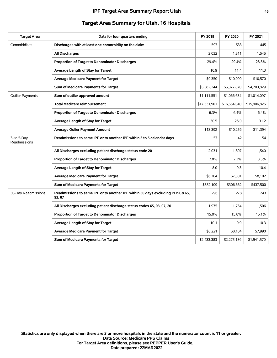| <b>Target Area</b>          | Data for four quarters ending                                                           | FY 2019      | FY 2020      | FY 2021      |
|-----------------------------|-----------------------------------------------------------------------------------------|--------------|--------------|--------------|
| Comorbidities               | Discharges with at least one comorbidity on the claim                                   | 597          | 533          | 445          |
|                             | <b>All Discharges</b>                                                                   | 2,032        | 1,811        | 1,545        |
|                             | Proportion of Target to Denominator Discharges                                          | 29.4%        | 29.4%        | 28.8%        |
|                             | Average Length of Stay for Target                                                       | 10.9         | 11.4         | 11.3         |
|                             | <b>Average Medicare Payment for Target</b>                                              | \$9,350      | \$10,090     | \$10,570     |
|                             | Sum of Medicare Payments for Target                                                     | \$5,582,244  | \$5,377,870  | \$4,703,829  |
| <b>Outlier Payments</b>     | Sum of outlier approved amount                                                          | \$1,111,551  | \$1,066,634  | \$1,014,097  |
|                             | <b>Total Medicare reimbursement</b>                                                     | \$17,531,901 | \$16,554,040 | \$15,906,826 |
|                             | <b>Proportion of Target to Denominator Discharges</b>                                   | 6.3%         | 6.4%         | 6.4%         |
|                             | Average Length of Stay for Target                                                       | 30.5         | 26.0         | 31.2         |
|                             | <b>Average Oulier Payment Amount</b>                                                    | \$13,392     | \$10,256     | \$11,394     |
| 3- to 5-Day<br>Readmissions | Readmissions to same IPF or to another IPF within 3 to 5 calendar days                  | 57           | 42           | 54           |
|                             | All Discharges excluding patient discharge status code 20                               | 2.031        | 1.807        | 1,540        |
|                             | Proportion of Target to Denominator Discharges                                          | 2.8%         | 2.3%         | 3.5%         |
|                             | Average Length of Stay for Target                                                       | 8.0          | 9.3          | 10.4         |
|                             | <b>Average Medicare Payment for Target</b>                                              | \$6,704      | \$7,301      | \$8,102      |
|                             | Sum of Medicare Payments for Target                                                     | \$382,109    | \$306,662    | \$437,500    |
| 30-Day Readmissions         | Readmissions to same IPF or to another IPF within 30 days excluding PDSCs 65,<br>93, 07 | 296          | 278          | 243          |
|                             | All Discharges excluding patient discharge status codes 65, 93, 07, 20                  | 1,975        | 1,754        | 1,506        |
|                             | Proportion of Target to Denominator Discharges                                          | 15.0%        | 15.8%        | 16.1%        |
|                             | Average Length of Stay for Target                                                       | 10.1         | 9.9          | 10.3         |
|                             | <b>Average Medicare Payment for Target</b>                                              | \$8,221      | \$8,184      | \$7,990      |
|                             | Sum of Medicare Payments for Target                                                     | \$2,433,383  | \$2,275,186  | \$1,941,570  |
|                             |                                                                                         |              |              |              |

## **Target Area Summary for Utah, 16 Hospitals**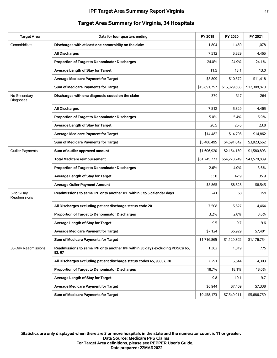| FY 2020<br>1,450<br>5,829<br>24.9%<br>13.1 | FY 2021<br>1,078<br>4,465<br>24.1% |
|--------------------------------------------|------------------------------------|
|                                            |                                    |
|                                            |                                    |
|                                            |                                    |
|                                            |                                    |
|                                            | 13.0                               |
| \$10,572                                   | \$11,418                           |
| \$15,329,688                               | \$12,308,870                       |
| 317                                        | 264                                |
| 5,829                                      | 4,465                              |
| 5.4%                                       | 5.9%                               |
| 26.6                                       | 23.8                               |
| \$14,798                                   | \$14,862                           |
| \$4,691,042                                | \$3,923,662                        |
| \$2,154,130                                | \$1,580,893                        |
| \$54,278,249                               | \$43,570,839                       |
| 4.0%                                       | 3.6%                               |
| 42.9                                       | 35.9                               |
| \$8,828                                    | \$8,545                            |
| 163                                        | 159                                |
| 5,827                                      | 4,464                              |
| 2.8%                                       | 3.6%                               |
| 9.7                                        | 9.6                                |
| \$6,929                                    | \$7,401                            |
| \$1,129,392                                | \$1,176,754                        |
| 1,019                                      | 775                                |
| 5,644                                      | 4,303                              |
| 18.1%                                      | 18.0%                              |
| 10.1                                       | 9.7                                |
|                                            |                                    |
| \$7,409                                    | \$7,338                            |
|                                            |                                    |

# **Target Area Summary for Virginia, 34 Hospitals**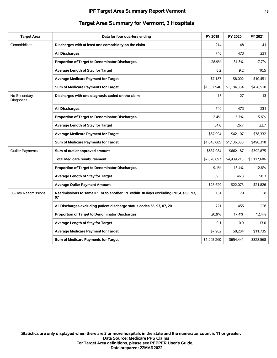| <b>Target Area</b>        | Data for four quarters ending                                                           | FY 2019     | FY 2020     | FY 2021     |
|---------------------------|-----------------------------------------------------------------------------------------|-------------|-------------|-------------|
| Comorbidities             | Discharges with at least one comorbidity on the claim                                   | 214         | 148         | 41          |
|                           | <b>All Discharges</b>                                                                   | 740         | 473         | 231         |
|                           | Proportion of Target to Denominator Discharges                                          | 28.9%       | 31.3%       | 17.7%       |
|                           | Average Length of Stay for Target                                                       | 8.2         | 9.2         | 10.5        |
|                           | <b>Average Medicare Payment for Target</b>                                              | \$7,187     | \$8,002     | \$10,451    |
|                           | Sum of Medicare Payments for Target                                                     | \$1,537,940 | \$1,184,364 | \$428,510   |
| No Secondary<br>Diagnoses | Discharges with one diagnosis coded on the claim                                        | 18          | 27          | 13          |
|                           | All Discharges                                                                          | 740         | 473         | 231         |
|                           | Proportion of Target to Denominator Discharges                                          | 2.4%        | 5.7%        | 5.6%        |
|                           | Average Length of Stay for Target                                                       | 34.6        | 26.7        | 22.7        |
|                           | <b>Average Medicare Payment for Target</b>                                              | \$57,994    | \$42,107    | \$38,332    |
|                           | Sum of Medicare Payments for Target                                                     | \$1,043,885 | \$1,136,880 | \$498,318   |
| <b>Outlier Payments</b>   | Sum of outlier approved amount                                                          | \$637,984   | \$662,187   | \$392,875   |
|                           | <b>Total Medicare reimbursement</b>                                                     | \$7,026,697 | \$4,939,213 | \$3,117,606 |
|                           | <b>Proportion of Target to Denominator Discharges</b>                                   | 9.1%        | 13.4%       | 12.6%       |
|                           | Average Length of Stay for Target                                                       | 59.3        | 46.3        | 50.3        |
|                           | <b>Average Oulier Payment Amount</b>                                                    | \$23,629    | \$22,073    | \$21,826    |
| 30-Day Readmissions       | Readmissions to same IPF or to another IPF within 30 days excluding PDSCs 65, 93,<br>07 | 151         | 79          | 28          |
|                           | All Discharges excluding patient discharge status codes 65, 93, 07, 20                  | 721         | 455         | 226         |
|                           | Proportion of Target to Denominator Discharges                                          | 20.9%       | 17.4%       | 12.4%       |
|                           | Average Length of Stay for Target                                                       | 9.1         | 10.0        | 13.0        |
|                           | <b>Average Medicare Payment for Target</b>                                              | \$7,982     | \$8,284     | \$11,735    |
|                           | Sum of Medicare Payments for Target                                                     | \$1,205,260 | \$654,441   | \$328,568   |

## **Target Area Summary for Vermont, 3 Hospitals**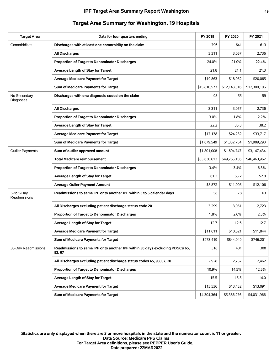| <b>Target Area</b>          | Data for four quarters ending                                                           | FY 2019      | FY 2020      | FY 2021      |
|-----------------------------|-----------------------------------------------------------------------------------------|--------------|--------------|--------------|
| Comorbidities               | Discharges with at least one comorbidity on the claim                                   | 796          | 641          | 613          |
|                             | <b>All Discharges</b>                                                                   | 3,311        | 3,057        | 2,736        |
|                             | Proportion of Target to Denominator Discharges                                          | 24.0%        | 21.0%        | 22.4%        |
|                             | Average Length of Stay for Target                                                       | 21.8         | 21.1         | 21.3         |
|                             | <b>Average Medicare Payment for Target</b>                                              | \$19,863     | \$18,952     | \$20,065     |
|                             | Sum of Medicare Payments for Target                                                     | \$15,810,573 | \$12,148,316 | \$12,300,106 |
| No Secondary<br>Diagnoses   | Discharges with one diagnosis coded on the claim                                        | 98           | 55           | 59           |
|                             | <b>All Discharges</b>                                                                   | 3,311        | 3,057        | 2,736        |
|                             | Proportion of Target to Denominator Discharges                                          | 3.0%         | 1.8%         | 2.2%         |
|                             | Average Length of Stay for Target                                                       | 22.2         | 35.3         | 38.2         |
|                             | <b>Average Medicare Payment for Target</b>                                              | \$17,138     | \$24,232     | \$33,717     |
|                             | Sum of Medicare Payments for Target                                                     | \$1,679,549  | \$1,332,754  | \$1,989,290  |
| <b>Outlier Payments</b>     | Sum of outlier approved amount                                                          | \$1,801,008  | \$1,694,747  | \$3,147,434  |
|                             | <b>Total Medicare reimbursement</b>                                                     | \$53,630,612 | \$49,765,156 | \$46,463,962 |
|                             | <b>Proportion of Target to Denominator Discharges</b>                                   | 3.4%         | 3.4%         | 6.8%         |
|                             | Average Length of Stay for Target                                                       | 61.2         | 65.2         | 52.0         |
|                             | <b>Average Oulier Payment Amount</b>                                                    | \$8,872      | \$11,005     | \$12,106     |
| 3- to 5-Day<br>Readmissions | Readmissions to same IPF or to another IPF within 3 to 5 calendar days                  | 58           | 78           | 63           |
|                             | All Discharges excluding patient discharge status code 20                               | 3,299        | 3,051        | 2,723        |
|                             | Proportion of Target to Denominator Discharges                                          | 1.8%         | 2.6%         | 2.3%         |
|                             | Average Length of Stay for Target                                                       | 12.7         | 12.6         | 12.7         |
|                             | <b>Average Medicare Payment for Target</b>                                              | \$11.611     | \$10,821     | \$11,844     |
|                             | Sum of Medicare Payments for Target                                                     | \$673,419    | \$844,049    | \$746,201    |
| 30-Day Readmissions         | Readmissions to same IPF or to another IPF within 30 days excluding PDSCs 65,<br>93, 07 | 318          | 401          | 308          |
|                             | All Discharges excluding patient discharge status codes 65, 93, 07, 20                  | 2,928        | 2,757        | 2,462        |
|                             | Proportion of Target to Denominator Discharges                                          | 10.9%        | 14.5%        | 12.5%        |
|                             | Average Length of Stay for Target                                                       | 15.5         | 15.5         | 14.0         |
|                             | <b>Average Medicare Payment for Target</b>                                              | \$13,536     | \$13,432     | \$13,091     |
|                             | Sum of Medicare Payments for Target                                                     | \$4,304,364  | \$5,386,276  | \$4,031,966  |

# **Target Area Summary for Washington, 19 Hospitals**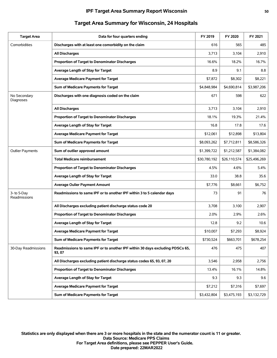| <b>Target Area</b>          | Data for four quarters ending                                                           | FY 2019      | FY 2020      | FY 2021      |
|-----------------------------|-----------------------------------------------------------------------------------------|--------------|--------------|--------------|
| Comorbidities               | Discharges with at least one comorbidity on the claim                                   | 616          | 565          | 485          |
|                             | <b>All Discharges</b>                                                                   | 3,713        | 3,104        | 2,910        |
|                             | Proportion of Target to Denominator Discharges                                          | 16.6%        | 18.2%        | 16.7%        |
|                             | Average Length of Stay for Target                                                       | 8.9          | 9.1          | 8.8          |
|                             | <b>Average Medicare Payment for Target</b>                                              | \$7,872      | \$8,302      | \$8,221      |
|                             | Sum of Medicare Payments for Target                                                     | \$4,848,984  | \$4,690,814  | \$3,987,206  |
| No Secondary<br>Diagnoses   | Discharges with one diagnosis coded on the claim                                        | 671          | 598          | 622          |
|                             | <b>All Discharges</b>                                                                   | 3,713        | 3,104        | 2,910        |
|                             | Proportion of Target to Denominator Discharges                                          | 18.1%        | 19.3%        | 21.4%        |
|                             | Average Length of Stay for Target                                                       | 16.8         | 17.8         | 17.6         |
|                             | <b>Average Medicare Payment for Target</b>                                              | \$12,061     | \$12,898     | \$13,804     |
|                             | Sum of Medicare Payments for Target                                                     | \$8,093,262  | \$7,712,811  | \$8,586,326  |
| <b>Outlier Payments</b>     | Sum of outlier approved amount                                                          | \$1,399,722  | \$1,212,587  | \$1,384,082  |
|                             | <b>Total Medicare reimbursement</b>                                                     | \$30,780,192 | \$26,110,574 | \$25,496,269 |
|                             | Proportion of Target to Denominator Discharges                                          | 4.5%         | 4.6%         | 5.4%         |
|                             | Average Length of Stay for Target                                                       | 33.0         | 38.8         | 35.6         |
|                             | <b>Average Oulier Payment Amount</b>                                                    | \$7,776      | \$8,661      | \$6,752      |
| 3- to 5-Day<br>Readmissions | Readmissions to same IPF or to another IPF within 3 to 5 calendar days                  | 73           | 91           | 76           |
|                             | All Discharges excluding patient discharge status code 20                               | 3,708        | 3,100        | 2,907        |
|                             | Proportion of Target to Denominator Discharges                                          | 2.0%         | 2.9%         | 2.6%         |
|                             | Average Length of Stay for Target                                                       | 12.8         | 9.2          | 10.6         |
|                             | <b>Average Medicare Payment for Target</b>                                              | \$10,007     | \$7,293      | \$8,924      |
|                             | Sum of Medicare Payments for Target                                                     | \$730,524    | \$663,701    | \$678,254    |
| 30-Day Readmissions         | Readmissions to same IPF or to another IPF within 30 days excluding PDSCs 65,<br>93, 07 | 476          | 475          | 407          |
|                             | All Discharges excluding patient discharge status codes 65, 93, 07, 20                  | 3,546        | 2,958        | 2,756        |
|                             | Proportion of Target to Denominator Discharges                                          | 13.4%        | 16.1%        | 14.8%        |
|                             | Average Length of Stay for Target                                                       | 9.3          | 9.3          | 9.6          |
|                             | <b>Average Medicare Payment for Target</b>                                              | \$7,212      | \$7,316      | \$7,697      |
|                             | Sum of Medicare Payments for Target                                                     | \$3,432,804  | \$3,475,193  | \$3,132,729  |

# **Target Area Summary for Wisconsin, 24 Hospitals**

**Date prepared: 22MAR2022 For Target Area definitions, please see PEPPER User's Guide. Data Source: Medicare PPS Claims Statistics are only displayed when there are 3 or more hospitals in the state and the numerator count is 11 or greater.**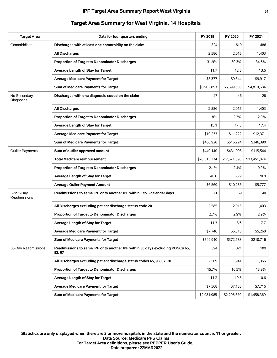| <b>Target Area</b>          | Data for four quarters ending                                                           | FY 2019      | FY 2020      | FY 2021      |
|-----------------------------|-----------------------------------------------------------------------------------------|--------------|--------------|--------------|
| Comorbidities               | Discharges with at least one comorbidity on the claim                                   | 824          | 610          | 486          |
|                             | <b>All Discharges</b>                                                                   | 2,586        | 2,015        | 1,403        |
|                             | Proportion of Target to Denominator Discharges                                          | 31.9%        | 30.3%        | 34.6%        |
|                             | Average Length of Stay for Target                                                       | 11.7         | 12.5         | 13.6         |
|                             | <b>Average Medicare Payment for Target</b>                                              | \$8,377      | \$9.344      | \$9,917      |
|                             | Sum of Medicare Payments for Target                                                     | \$6,902,853  | \$5,699,606  | \$4,819,684  |
| No Secondary<br>Diagnoses   | Discharges with one diagnosis coded on the claim                                        | 47           | 46           | 28           |
|                             | <b>All Discharges</b>                                                                   | 2,586        | 2,015        | 1,403        |
|                             | Proportion of Target to Denominator Discharges                                          | 1.8%         | 2.3%         | 2.0%         |
|                             | Average Length of Stay for Target                                                       | 15.1         | 17.3         | 17.4         |
|                             | <b>Average Medicare Payment for Target</b>                                              | \$10,233     | \$11,222     | \$12,371     |
|                             | Sum of Medicare Payments for Target                                                     | \$480,928    | \$516,224    | \$346,390    |
| <b>Outlier Payments</b>     | Sum of outlier approved amount                                                          | \$440,140    | \$431,998    | \$115,544    |
|                             | <b>Total Medicare reimbursement</b>                                                     | \$20,513,234 | \$17,671,698 | \$13,451,874 |
|                             | Proportion of Target to Denominator Discharges                                          | 2.1%         | 2.4%         | 0.9%         |
|                             | Average Length of Stay for Target                                                       | 40.6         | 55.9         | 70.8         |
|                             | <b>Average Oulier Payment Amount</b>                                                    | \$6,569      | \$10,286     | \$5,777      |
| 3- to 5-Day<br>Readmissions | Readmissions to same IPF or to another IPF within 3 to 5 calendar days                  | 71           | 59           | 40           |
|                             | All Discharges excluding patient discharge status code 20                               | 2,585        | 2,013        | 1,403        |
|                             | Proportion of Target to Denominator Discharges                                          | 2.7%         | 2.9%         | 2.9%         |
|                             | Average Length of Stay for Target                                                       | 11.3         | 8.6          | 7.7          |
|                             | <b>Average Medicare Payment for Target</b>                                              | \$7.746      | \$6,318      | \$5,268      |
|                             | Sum of Medicare Payments for Target                                                     | \$549,940    | \$372,783    | \$210,716    |
| 30-Day Readmissions         | Readmissions to same IPF or to another IPF within 30 days excluding PDSCs 65,<br>93, 07 | 394          | 321          | 189          |
|                             | All Discharges excluding patient discharge status codes 65, 93, 07, 20                  | 2,509        | 1,941        | 1,355        |
|                             | Proportion of Target to Denominator Discharges                                          | 15.7%        | 16.5%        | 13.9%        |
|                             | Average Length of Stay for Target                                                       | 11.2         | 10.5         | 10.6         |
|                             | <b>Average Medicare Payment for Target</b>                                              | \$7,568      | \$7,155      | \$7,716      |
|                             | Sum of Medicare Payments for Target                                                     | \$2,981,985  | \$2,296,679  | \$1,458,369  |

## **Target Area Summary for West Virginia, 14 Hospitals**